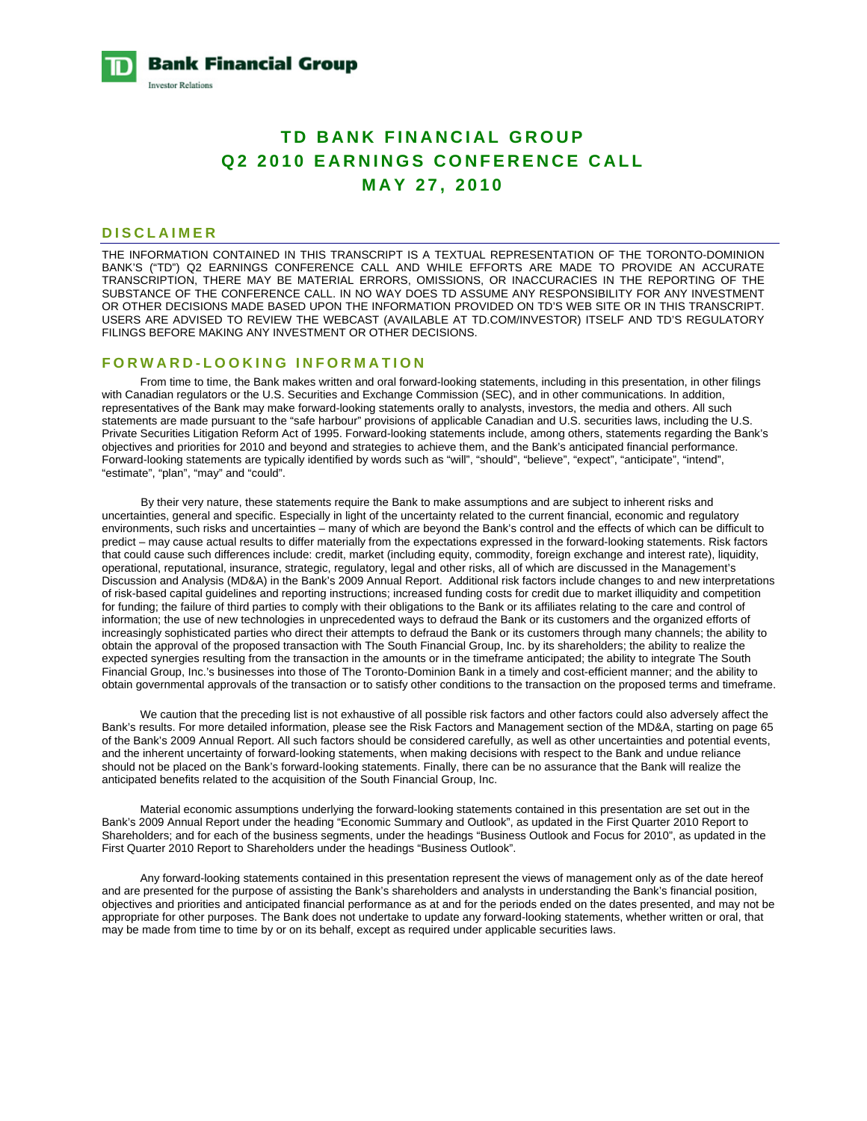**Bank Financial Group Investor Relations** 

# **TD BANK FINANCIAL GROUP Q2 2010 EARNINGS CONFERENCE CALL MAY 27, 2010**

#### **DISCLAIMER**

THE INFORMATION CONTAINED IN THIS TRANSCRIPT IS A TEXTUAL REPRESENTATION OF THE TORONTO-DOMINION BANK'S ("TD") Q2 EARNINGS CONFERENCE CALL AND WHILE EFFORTS ARE MADE TO PROVIDE AN ACCURATE TRANSCRIPTION, THERE MAY BE MATERIAL ERRORS, OMISSIONS, OR INACCURACIES IN THE REPORTING OF THE SUBSTANCE OF THE CONFERENCE CALL. IN NO WAY DOES TD ASSUME ANY RESPONSIBILITY FOR ANY INVESTMENT OR OTHER DECISIONS MADE BASED UPON THE INFORMATION PROVIDED ON TD'S WEB SITE OR IN THIS TRANSCRIPT. USERS ARE ADVISED TO REVIEW THE WEBCAST (AVAILABLE AT TD.COM/INVESTOR) ITSELF AND TD'S REGULATORY FILINGS BEFORE MAKING ANY INVESTMENT OR OTHER DECISIONS.

#### **FORWARD-LOOKING INFORMATION**

 From time to time, the Bank makes written and oral forward-looking statements, including in this presentation, in other filings with Canadian regulators or the U.S. Securities and Exchange Commission (SEC), and in other communications. In addition, representatives of the Bank may make forward-looking statements orally to analysts, investors, the media and others. All such statements are made pursuant to the "safe harbour" provisions of applicable Canadian and U.S. securities laws, including the U.S. Private Securities Litigation Reform Act of 1995. Forward-looking statements include, among others, statements regarding the Bank's objectives and priorities for 2010 and beyond and strategies to achieve them, and the Bank's anticipated financial performance. Forward-looking statements are typically identified by words such as "will", "should", "believe", "expect", "anticipate", "intend", "estimate", "plan", "may" and "could".

 By their very nature, these statements require the Bank to make assumptions and are subject to inherent risks and uncertainties, general and specific. Especially in light of the uncertainty related to the current financial, economic and regulatory environments, such risks and uncertainties – many of which are beyond the Bank's control and the effects of which can be difficult to predict – may cause actual results to differ materially from the expectations expressed in the forward-looking statements. Risk factors that could cause such differences include: credit, market (including equity, commodity, foreign exchange and interest rate), liquidity, operational, reputational, insurance, strategic, regulatory, legal and other risks, all of which are discussed in the Management's Discussion and Analysis (MD&A) in the Bank's 2009 Annual Report. Additional risk factors include changes to and new interpretations of risk-based capital guidelines and reporting instructions; increased funding costs for credit due to market illiquidity and competition for funding; the failure of third parties to comply with their obligations to the Bank or its affiliates relating to the care and control of information; the use of new technologies in unprecedented ways to defraud the Bank or its customers and the organized efforts of increasingly sophisticated parties who direct their attempts to defraud the Bank or its customers through many channels; the ability to obtain the approval of the proposed transaction with The South Financial Group, Inc. by its shareholders; the ability to realize the expected synergies resulting from the transaction in the amounts or in the timeframe anticipated; the ability to integrate The South Financial Group, Inc.'s businesses into those of The Toronto-Dominion Bank in a timely and cost-efficient manner; and the ability to obtain governmental approvals of the transaction or to satisfy other conditions to the transaction on the proposed terms and timeframe.

We caution that the preceding list is not exhaustive of all possible risk factors and other factors could also adversely affect the Bank's results. For more detailed information, please see the Risk Factors and Management section of the MD&A, starting on page 65 of the Bank's 2009 Annual Report. All such factors should be considered carefully, as well as other uncertainties and potential events, and the inherent uncertainty of forward-looking statements, when making decisions with respect to the Bank and undue reliance should not be placed on the Bank's forward-looking statements. Finally, there can be no assurance that the Bank will realize the anticipated benefits related to the acquisition of the South Financial Group, Inc.

 Material economic assumptions underlying the forward-looking statements contained in this presentation are set out in the Bank's 2009 Annual Report under the heading "Economic Summary and Outlook", as updated in the First Quarter 2010 Report to Shareholders; and for each of the business segments, under the headings "Business Outlook and Focus for 2010", as updated in the First Quarter 2010 Report to Shareholders under the headings "Business Outlook".

 Any forward-looking statements contained in this presentation represent the views of management only as of the date hereof and are presented for the purpose of assisting the Bank's shareholders and analysts in understanding the Bank's financial position, objectives and priorities and anticipated financial performance as at and for the periods ended on the dates presented, and may not be appropriate for other purposes. The Bank does not undertake to update any forward-looking statements, whether written or oral, that may be made from time to time by or on its behalf, except as required under applicable securities laws.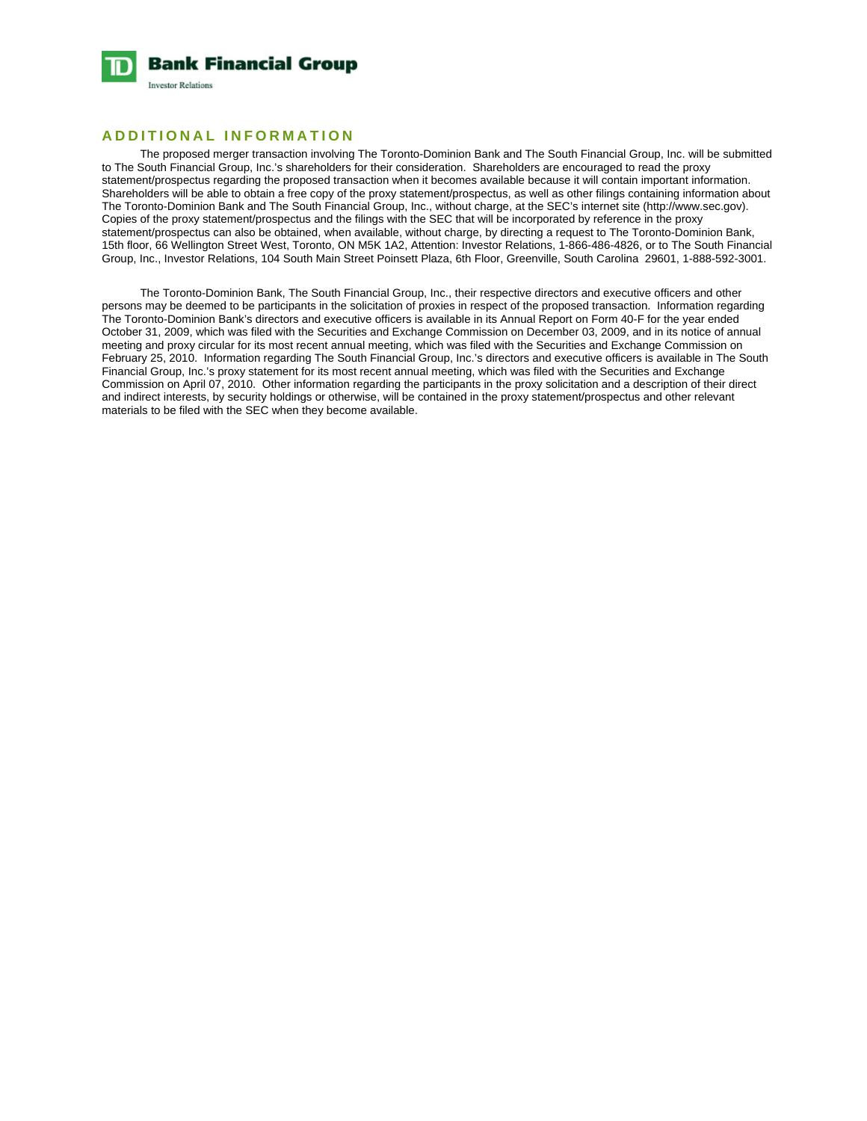

# **ADDITIONAL INFORMATION**

 The proposed merger transaction involving The Toronto-Dominion Bank and The South Financial Group, Inc. will be submitted to The South Financial Group, Inc.'s shareholders for their consideration. Shareholders are encouraged to read the proxy statement/prospectus regarding the proposed transaction when it becomes available because it will contain important information. Shareholders will be able to obtain a free copy of the proxy statement/prospectus, as well as other filings containing information about The Toronto-Dominion Bank and The South Financial Group, Inc., without charge, at the SEC's internet site (http://www.sec.gov). Copies of the proxy statement/prospectus and the filings with the SEC that will be incorporated by reference in the proxy statement/prospectus can also be obtained, when available, without charge, by directing a request to The Toronto-Dominion Bank, 15th floor, 66 Wellington Street West, Toronto, ON M5K 1A2, Attention: Investor Relations, 1-866-486-4826, or to The South Financial Group, Inc., Investor Relations, 104 South Main Street Poinsett Plaza, 6th Floor, Greenville, South Carolina 29601, 1-888-592-3001.

 The Toronto-Dominion Bank, The South Financial Group, Inc., their respective directors and executive officers and other persons may be deemed to be participants in the solicitation of proxies in respect of the proposed transaction. Information regarding The Toronto-Dominion Bank's directors and executive officers is available in its Annual Report on Form 40-F for the year ended October 31, 2009, which was filed with the Securities and Exchange Commission on December 03, 2009, and in its notice of annual meeting and proxy circular for its most recent annual meeting, which was filed with the Securities and Exchange Commission on February 25, 2010. Information regarding The South Financial Group, Inc.'s directors and executive officers is available in The South Financial Group, Inc.'s proxy statement for its most recent annual meeting, which was filed with the Securities and Exchange Commission on April 07, 2010. Other information regarding the participants in the proxy solicitation and a description of their direct and indirect interests, by security holdings or otherwise, will be contained in the proxy statement/prospectus and other relevant materials to be filed with the SEC when they become available.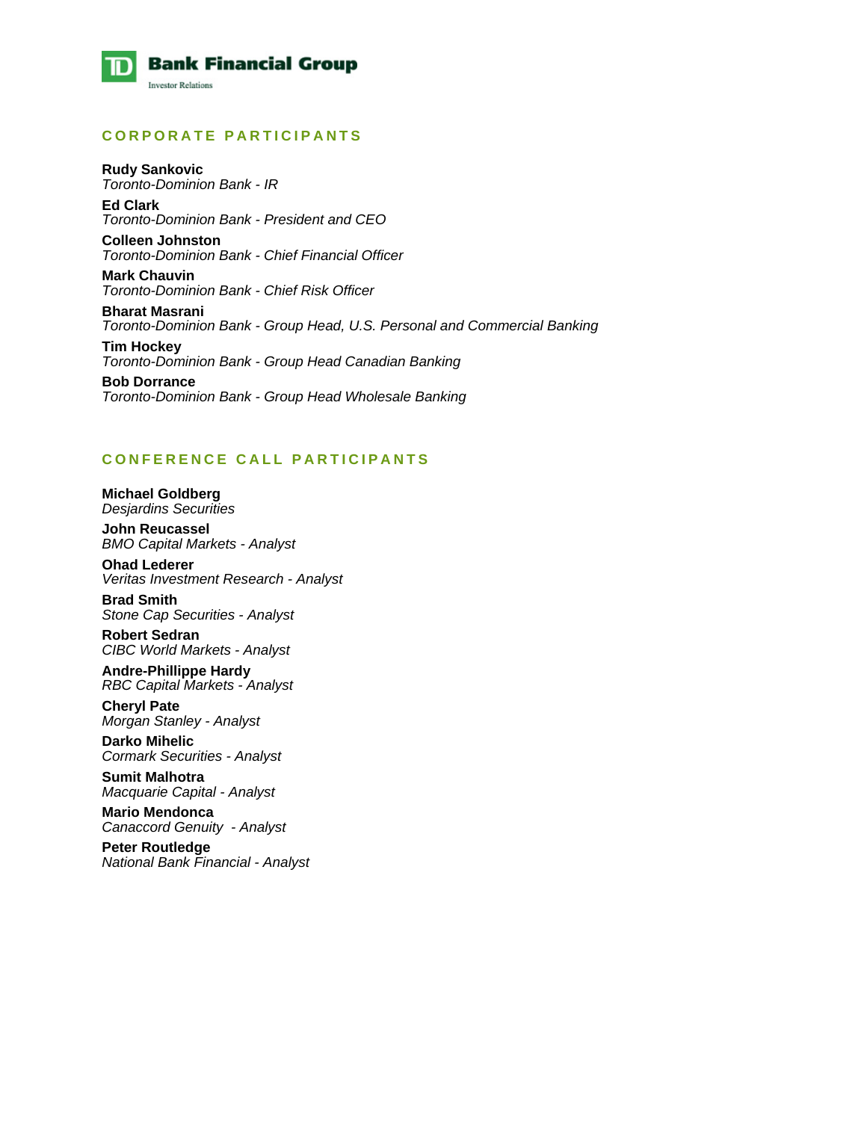

# **CORPORATE PARTICIPANTS**

**Rudy Sankovic**  *Toronto-Dominion Bank - IR*  **Ed Clark** 

*Toronto-Dominion Bank - President and CEO* 

**Colleen Johnston**  *Toronto-Dominion Bank - Chief Financial Officer* 

**Mark Chauvin**  *Toronto-Dominion Bank - Chief Risk Officer* 

**Bharat Masrani**  *Toronto-Dominion Bank - Group Head, U.S. Personal and Commercial Banking* 

**Tim Hockey**  *Toronto-Dominion Bank - Group Head Canadian Banking* 

**Bob Dorrance**  *Toronto-Dominion Bank - Group Head Wholesale Banking* 

# **CONFERENCE CALL PARTICIPANTS**

**Michael Goldberg**  *Desjardins Securities* 

**John Reucassel**  *BMO Capital Markets - Analyst* 

**Ohad Lederer**  *Veritas Investment Research - Analyst* 

**Brad Smith**  *Stone Cap Securities - Analyst* 

**Robert Sedran**  *CIBC World Markets - Analyst* 

**Andre-Phillippe Hardy**  *RBC Capital Markets - Analyst* 

**Cheryl Pate**  *Morgan Stanley - Analyst* 

**Darko Mihelic**  *Cormark Securities - Analyst* 

**Sumit Malhotra**  *Macquarie Capital - Analyst* 

**Mario Mendonca**  *Canaccord Genuity - Analyst* 

**Peter Routledge**  *National Bank Financial - Analyst*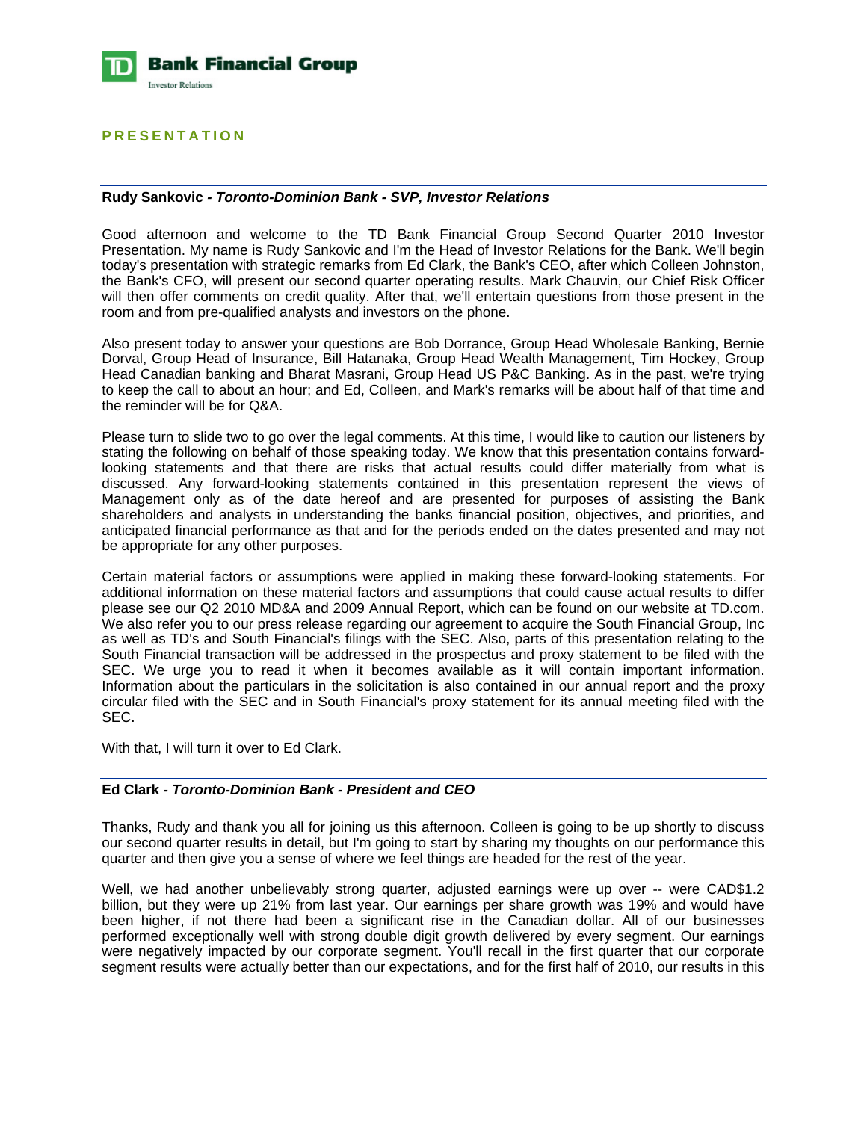

# **PRESENTATION**

#### **Rudy Sankovic** *- Toronto-Dominion Bank - SVP, Investor Relations*

Good afternoon and welcome to the TD Bank Financial Group Second Quarter 2010 Investor Presentation. My name is Rudy Sankovic and I'm the Head of Investor Relations for the Bank. We'll begin today's presentation with strategic remarks from Ed Clark, the Bank's CEO, after which Colleen Johnston, the Bank's CFO, will present our second quarter operating results. Mark Chauvin, our Chief Risk Officer will then offer comments on credit quality. After that, we'll entertain questions from those present in the room and from pre-qualified analysts and investors on the phone.

Also present today to answer your questions are Bob Dorrance, Group Head Wholesale Banking, Bernie Dorval, Group Head of Insurance, Bill Hatanaka, Group Head Wealth Management, Tim Hockey, Group Head Canadian banking and Bharat Masrani, Group Head US P&C Banking. As in the past, we're trying to keep the call to about an hour; and Ed, Colleen, and Mark's remarks will be about half of that time and the reminder will be for Q&A.

Please turn to slide two to go over the legal comments. At this time, I would like to caution our listeners by stating the following on behalf of those speaking today. We know that this presentation contains forwardlooking statements and that there are risks that actual results could differ materially from what is discussed. Any forward-looking statements contained in this presentation represent the views of Management only as of the date hereof and are presented for purposes of assisting the Bank shareholders and analysts in understanding the banks financial position, objectives, and priorities, and anticipated financial performance as that and for the periods ended on the dates presented and may not be appropriate for any other purposes.

Certain material factors or assumptions were applied in making these forward-looking statements. For additional information on these material factors and assumptions that could cause actual results to differ please see our Q2 2010 MD&A and 2009 Annual Report, which can be found on our website at TD.com. We also refer you to our press release regarding our agreement to acquire the South Financial Group, Inc as well as TD's and South Financial's filings with the SEC. Also, parts of this presentation relating to the South Financial transaction will be addressed in the prospectus and proxy statement to be filed with the SEC. We urge you to read it when it becomes available as it will contain important information. Information about the particulars in the solicitation is also contained in our annual report and the proxy circular filed with the SEC and in South Financial's proxy statement for its annual meeting filed with the SEC.

With that, I will turn it over to Ed Clark.

#### **Ed Clark** *- Toronto-Dominion Bank - President and CEO*

Thanks, Rudy and thank you all for joining us this afternoon. Colleen is going to be up shortly to discuss our second quarter results in detail, but I'm going to start by sharing my thoughts on our performance this quarter and then give you a sense of where we feel things are headed for the rest of the year.

Well, we had another unbelievably strong quarter, adjusted earnings were up over -- were CAD\$1.2 billion, but they were up 21% from last year. Our earnings per share growth was 19% and would have been higher, if not there had been a significant rise in the Canadian dollar. All of our businesses performed exceptionally well with strong double digit growth delivered by every segment. Our earnings were negatively impacted by our corporate segment. You'll recall in the first quarter that our corporate segment results were actually better than our expectations, and for the first half of 2010, our results in this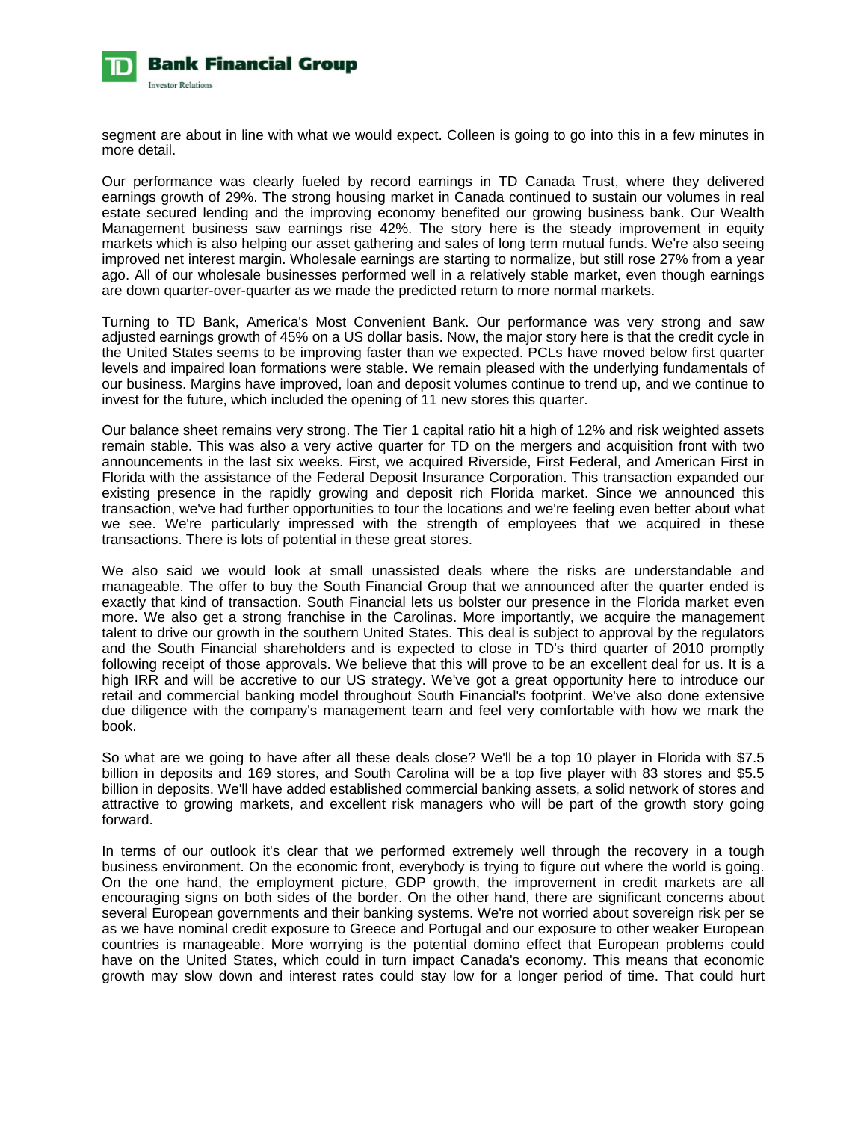

segment are about in line with what we would expect. Colleen is going to go into this in a few minutes in more detail.

Our performance was clearly fueled by record earnings in TD Canada Trust, where they delivered earnings growth of 29%. The strong housing market in Canada continued to sustain our volumes in real estate secured lending and the improving economy benefited our growing business bank. Our Wealth Management business saw earnings rise 42%. The story here is the steady improvement in equity markets which is also helping our asset gathering and sales of long term mutual funds. We're also seeing improved net interest margin. Wholesale earnings are starting to normalize, but still rose 27% from a year ago. All of our wholesale businesses performed well in a relatively stable market, even though earnings are down quarter-over-quarter as we made the predicted return to more normal markets.

Turning to TD Bank, America's Most Convenient Bank. Our performance was very strong and saw adjusted earnings growth of 45% on a US dollar basis. Now, the major story here is that the credit cycle in the United States seems to be improving faster than we expected. PCLs have moved below first quarter levels and impaired loan formations were stable. We remain pleased with the underlying fundamentals of our business. Margins have improved, loan and deposit volumes continue to trend up, and we continue to invest for the future, which included the opening of 11 new stores this quarter.

Our balance sheet remains very strong. The Tier 1 capital ratio hit a high of 12% and risk weighted assets remain stable. This was also a very active quarter for TD on the mergers and acquisition front with two announcements in the last six weeks. First, we acquired Riverside, First Federal, and American First in Florida with the assistance of the Federal Deposit Insurance Corporation. This transaction expanded our existing presence in the rapidly growing and deposit rich Florida market. Since we announced this transaction, we've had further opportunities to tour the locations and we're feeling even better about what we see. We're particularly impressed with the strength of employees that we acquired in these transactions. There is lots of potential in these great stores.

We also said we would look at small unassisted deals where the risks are understandable and manageable. The offer to buy the South Financial Group that we announced after the quarter ended is exactly that kind of transaction. South Financial lets us bolster our presence in the Florida market even more. We also get a strong franchise in the Carolinas. More importantly, we acquire the management talent to drive our growth in the southern United States. This deal is subject to approval by the regulators and the South Financial shareholders and is expected to close in TD's third quarter of 2010 promptly following receipt of those approvals. We believe that this will prove to be an excellent deal for us. It is a high IRR and will be accretive to our US strategy. We've got a great opportunity here to introduce our retail and commercial banking model throughout South Financial's footprint. We've also done extensive due diligence with the company's management team and feel very comfortable with how we mark the book.

So what are we going to have after all these deals close? We'll be a top 10 player in Florida with \$7.5 billion in deposits and 169 stores, and South Carolina will be a top five player with 83 stores and \$5.5 billion in deposits. We'll have added established commercial banking assets, a solid network of stores and attractive to growing markets, and excellent risk managers who will be part of the growth story going forward.

In terms of our outlook it's clear that we performed extremely well through the recovery in a tough business environment. On the economic front, everybody is trying to figure out where the world is going. On the one hand, the employment picture, GDP growth, the improvement in credit markets are all encouraging signs on both sides of the border. On the other hand, there are significant concerns about several European governments and their banking systems. We're not worried about sovereign risk per se as we have nominal credit exposure to Greece and Portugal and our exposure to other weaker European countries is manageable. More worrying is the potential domino effect that European problems could have on the United States, which could in turn impact Canada's economy. This means that economic growth may slow down and interest rates could stay low for a longer period of time. That could hurt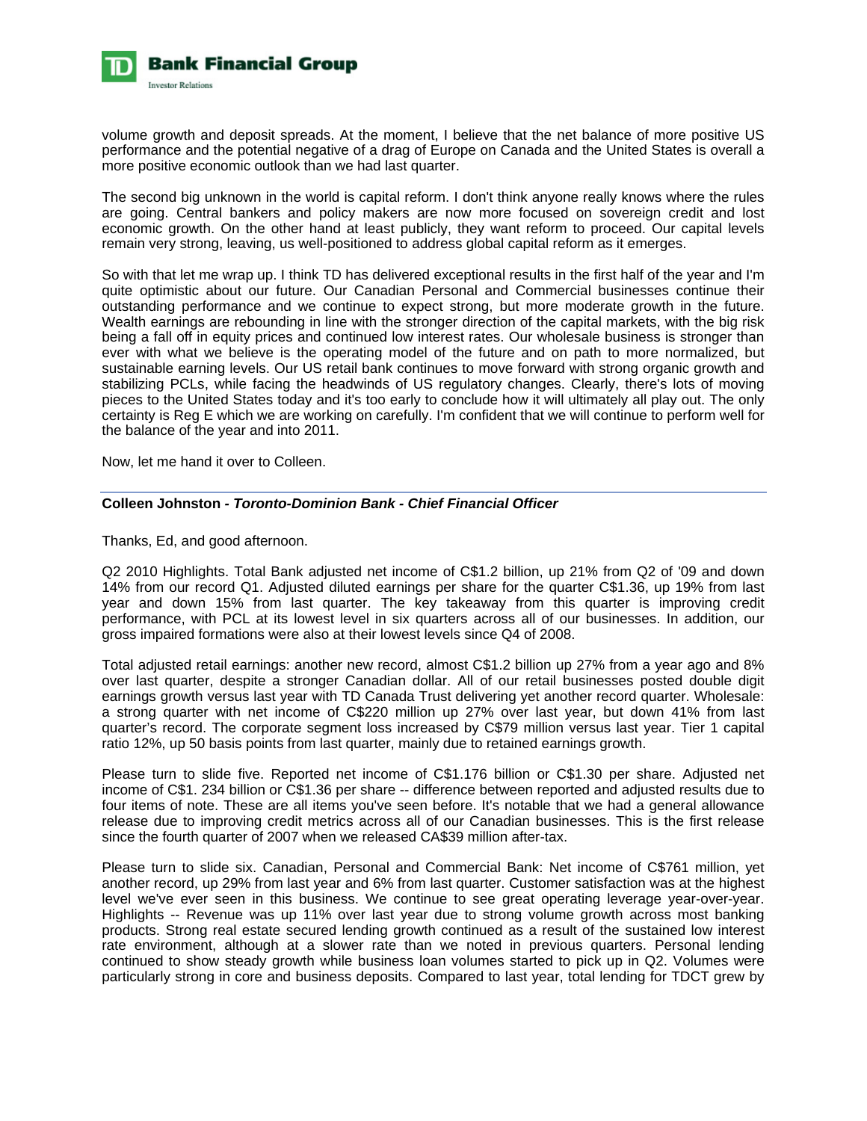

volume growth and deposit spreads. At the moment, I believe that the net balance of more positive US performance and the potential negative of a drag of Europe on Canada and the United States is overall a more positive economic outlook than we had last quarter.

The second big unknown in the world is capital reform. I don't think anyone really knows where the rules are going. Central bankers and policy makers are now more focused on sovereign credit and lost economic growth. On the other hand at least publicly, they want reform to proceed. Our capital levels remain very strong, leaving, us well-positioned to address global capital reform as it emerges.

So with that let me wrap up. I think TD has delivered exceptional results in the first half of the year and I'm quite optimistic about our future. Our Canadian Personal and Commercial businesses continue their outstanding performance and we continue to expect strong, but more moderate growth in the future. Wealth earnings are rebounding in line with the stronger direction of the capital markets, with the big risk being a fall off in equity prices and continued low interest rates. Our wholesale business is stronger than ever with what we believe is the operating model of the future and on path to more normalized, but sustainable earning levels. Our US retail bank continues to move forward with strong organic growth and stabilizing PCLs, while facing the headwinds of US regulatory changes. Clearly, there's lots of moving pieces to the United States today and it's too early to conclude how it will ultimately all play out. The only certainty is Reg E which we are working on carefully. I'm confident that we will continue to perform well for the balance of the year and into 2011.

Now, let me hand it over to Colleen.

# **Colleen Johnston** *- Toronto-Dominion Bank - Chief Financial Officer*

Thanks, Ed, and good afternoon.

Q2 2010 Highlights. Total Bank adjusted net income of C\$1.2 billion, up 21% from Q2 of '09 and down 14% from our record Q1. Adjusted diluted earnings per share for the quarter C\$1.36, up 19% from last year and down 15% from last quarter. The key takeaway from this quarter is improving credit performance, with PCL at its lowest level in six quarters across all of our businesses. In addition, our gross impaired formations were also at their lowest levels since Q4 of 2008.

Total adjusted retail earnings: another new record, almost C\$1.2 billion up 27% from a year ago and 8% over last quarter, despite a stronger Canadian dollar. All of our retail businesses posted double digit earnings growth versus last year with TD Canada Trust delivering yet another record quarter. Wholesale: a strong quarter with net income of C\$220 million up 27% over last year, but down 41% from last quarter's record. The corporate segment loss increased by C\$79 million versus last year. Tier 1 capital ratio 12%, up 50 basis points from last quarter, mainly due to retained earnings growth.

Please turn to slide five. Reported net income of C\$1.176 billion or C\$1.30 per share. Adjusted net income of C\$1. 234 billion or C\$1.36 per share -- difference between reported and adjusted results due to four items of note. These are all items you've seen before. It's notable that we had a general allowance release due to improving credit metrics across all of our Canadian businesses. This is the first release since the fourth quarter of 2007 when we released CA\$39 million after-tax.

Please turn to slide six. Canadian, Personal and Commercial Bank: Net income of C\$761 million, yet another record, up 29% from last year and 6% from last quarter. Customer satisfaction was at the highest level we've ever seen in this business. We continue to see great operating leverage year-over-year. Highlights -- Revenue was up 11% over last year due to strong volume growth across most banking products. Strong real estate secured lending growth continued as a result of the sustained low interest rate environment, although at a slower rate than we noted in previous quarters. Personal lending continued to show steady growth while business loan volumes started to pick up in Q2. Volumes were particularly strong in core and business deposits. Compared to last year, total lending for TDCT grew by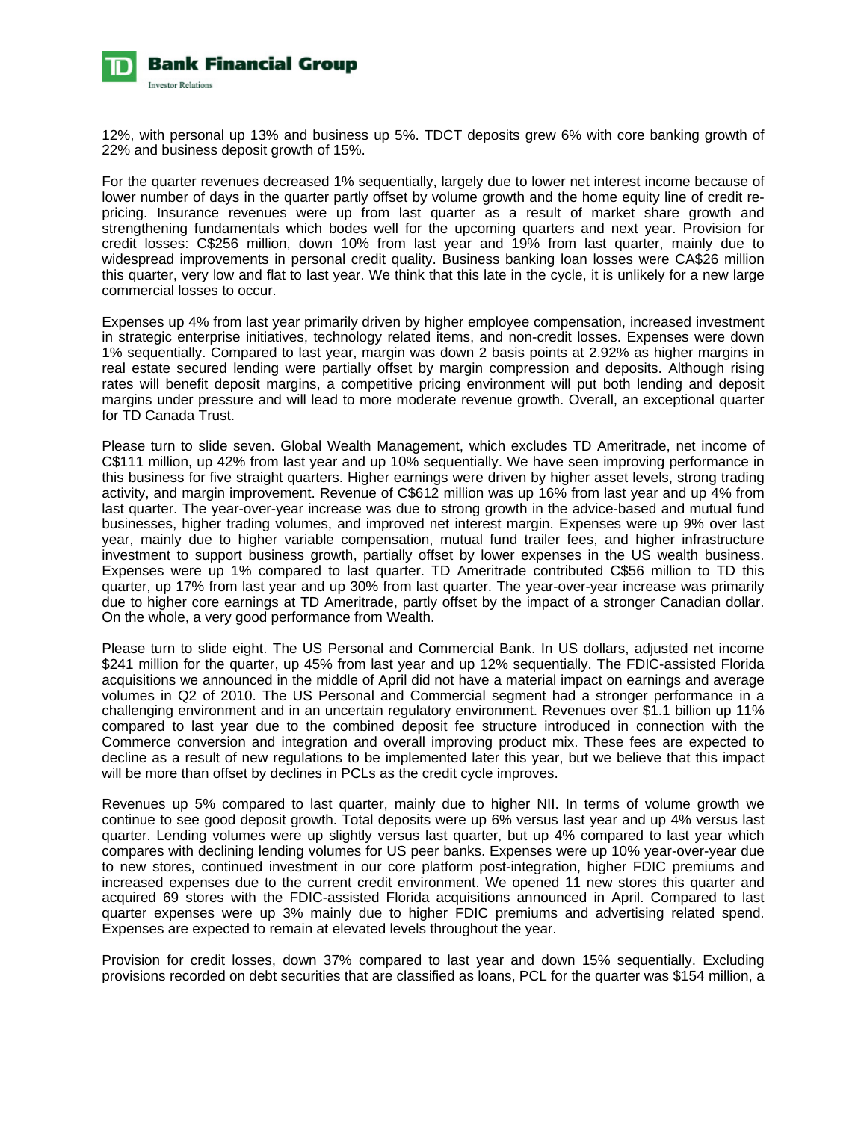

12%, with personal up 13% and business up 5%. TDCT deposits grew 6% with core banking growth of 22% and business deposit growth of 15%.

For the quarter revenues decreased 1% sequentially, largely due to lower net interest income because of lower number of days in the quarter partly offset by volume growth and the home equity line of credit repricing. Insurance revenues were up from last quarter as a result of market share growth and strengthening fundamentals which bodes well for the upcoming quarters and next year. Provision for credit losses: C\$256 million, down 10% from last year and 19% from last quarter, mainly due to widespread improvements in personal credit quality. Business banking loan losses were CA\$26 million this quarter, very low and flat to last year. We think that this late in the cycle, it is unlikely for a new large commercial losses to occur.

Expenses up 4% from last year primarily driven by higher employee compensation, increased investment in strategic enterprise initiatives, technology related items, and non-credit losses. Expenses were down 1% sequentially. Compared to last year, margin was down 2 basis points at 2.92% as higher margins in real estate secured lending were partially offset by margin compression and deposits. Although rising rates will benefit deposit margins, a competitive pricing environment will put both lending and deposit margins under pressure and will lead to more moderate revenue growth. Overall, an exceptional quarter for TD Canada Trust.

Please turn to slide seven. Global Wealth Management, which excludes TD Ameritrade, net income of C\$111 million, up 42% from last year and up 10% sequentially. We have seen improving performance in this business for five straight quarters. Higher earnings were driven by higher asset levels, strong trading activity, and margin improvement. Revenue of C\$612 million was up 16% from last year and up 4% from last quarter. The year-over-year increase was due to strong growth in the advice-based and mutual fund businesses, higher trading volumes, and improved net interest margin. Expenses were up 9% over last year, mainly due to higher variable compensation, mutual fund trailer fees, and higher infrastructure investment to support business growth, partially offset by lower expenses in the US wealth business. Expenses were up 1% compared to last quarter. TD Ameritrade contributed C\$56 million to TD this quarter, up 17% from last year and up 30% from last quarter. The year-over-year increase was primarily due to higher core earnings at TD Ameritrade, partly offset by the impact of a stronger Canadian dollar. On the whole, a very good performance from Wealth.

Please turn to slide eight. The US Personal and Commercial Bank. In US dollars, adjusted net income \$241 million for the quarter, up 45% from last year and up 12% sequentially. The FDIC-assisted Florida acquisitions we announced in the middle of April did not have a material impact on earnings and average volumes in Q2 of 2010. The US Personal and Commercial segment had a stronger performance in a challenging environment and in an uncertain regulatory environment. Revenues over \$1.1 billion up 11% compared to last year due to the combined deposit fee structure introduced in connection with the Commerce conversion and integration and overall improving product mix. These fees are expected to decline as a result of new regulations to be implemented later this year, but we believe that this impact will be more than offset by declines in PCLs as the credit cycle improves.

Revenues up 5% compared to last quarter, mainly due to higher NII. In terms of volume growth we continue to see good deposit growth. Total deposits were up 6% versus last year and up 4% versus last quarter. Lending volumes were up slightly versus last quarter, but up 4% compared to last year which compares with declining lending volumes for US peer banks. Expenses were up 10% year-over-year due to new stores, continued investment in our core platform post-integration, higher FDIC premiums and increased expenses due to the current credit environment. We opened 11 new stores this quarter and acquired 69 stores with the FDIC-assisted Florida acquisitions announced in April. Compared to last quarter expenses were up 3% mainly due to higher FDIC premiums and advertising related spend. Expenses are expected to remain at elevated levels throughout the year.

Provision for credit losses, down 37% compared to last year and down 15% sequentially. Excluding provisions recorded on debt securities that are classified as loans, PCL for the quarter was \$154 million, a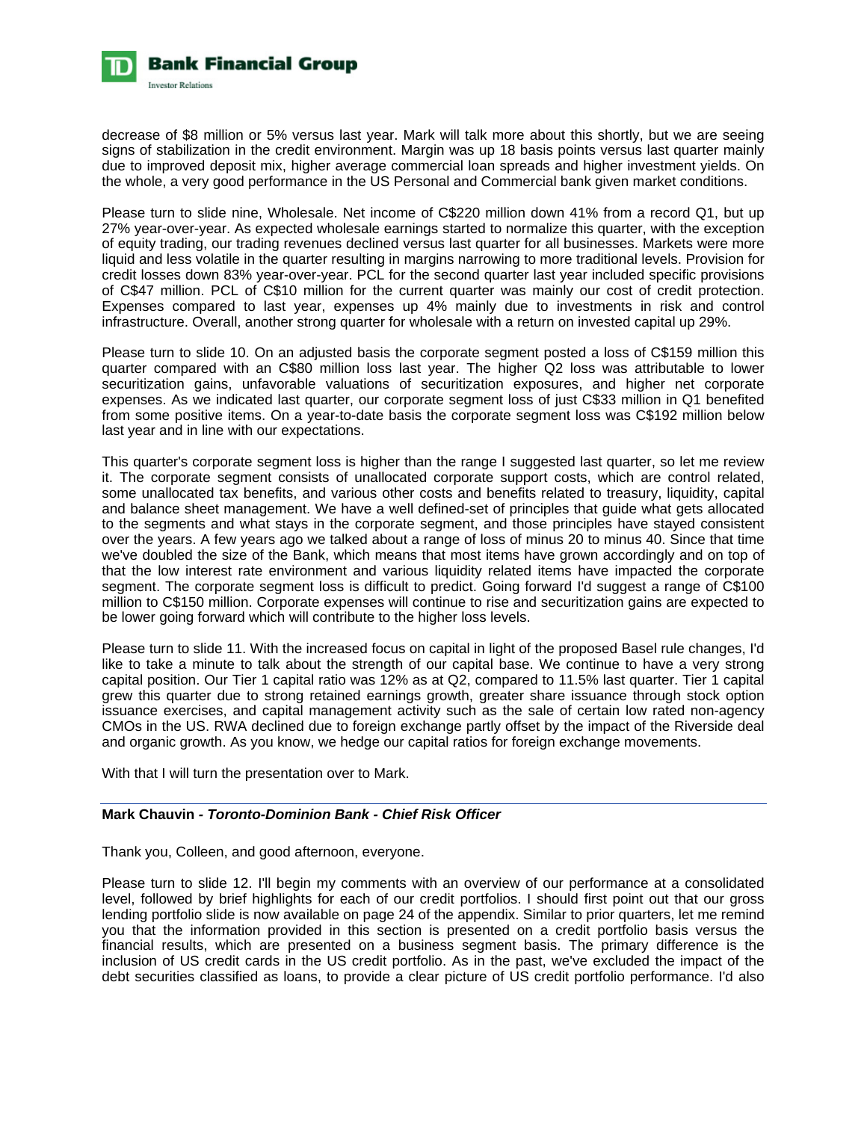

decrease of \$8 million or 5% versus last year. Mark will talk more about this shortly, but we are seeing signs of stabilization in the credit environment. Margin was up 18 basis points versus last quarter mainly due to improved deposit mix, higher average commercial loan spreads and higher investment yields. On the whole, a very good performance in the US Personal and Commercial bank given market conditions.

Please turn to slide nine, Wholesale. Net income of C\$220 million down 41% from a record Q1, but up 27% year-over-year. As expected wholesale earnings started to normalize this quarter, with the exception of equity trading, our trading revenues declined versus last quarter for all businesses. Markets were more liquid and less volatile in the quarter resulting in margins narrowing to more traditional levels. Provision for credit losses down 83% year-over-year. PCL for the second quarter last year included specific provisions of C\$47 million. PCL of C\$10 million for the current quarter was mainly our cost of credit protection. Expenses compared to last year, expenses up 4% mainly due to investments in risk and control infrastructure. Overall, another strong quarter for wholesale with a return on invested capital up 29%.

Please turn to slide 10. On an adjusted basis the corporate segment posted a loss of C\$159 million this quarter compared with an C\$80 million loss last year. The higher Q2 loss was attributable to lower securitization gains, unfavorable valuations of securitization exposures, and higher net corporate expenses. As we indicated last quarter, our corporate segment loss of just C\$33 million in Q1 benefited from some positive items. On a year-to-date basis the corporate segment loss was C\$192 million below last year and in line with our expectations.

This quarter's corporate segment loss is higher than the range I suggested last quarter, so let me review it. The corporate segment consists of unallocated corporate support costs, which are control related, some unallocated tax benefits, and various other costs and benefits related to treasury, liquidity, capital and balance sheet management. We have a well defined-set of principles that guide what gets allocated to the segments and what stays in the corporate segment, and those principles have stayed consistent over the years. A few years ago we talked about a range of loss of minus 20 to minus 40. Since that time we've doubled the size of the Bank, which means that most items have grown accordingly and on top of that the low interest rate environment and various liquidity related items have impacted the corporate segment. The corporate segment loss is difficult to predict. Going forward I'd suggest a range of C\$100 million to C\$150 million. Corporate expenses will continue to rise and securitization gains are expected to be lower going forward which will contribute to the higher loss levels.

Please turn to slide 11. With the increased focus on capital in light of the proposed Basel rule changes, I'd like to take a minute to talk about the strength of our capital base. We continue to have a very strong capital position. Our Tier 1 capital ratio was 12% as at Q2, compared to 11.5% last quarter. Tier 1 capital grew this quarter due to strong retained earnings growth, greater share issuance through stock option issuance exercises, and capital management activity such as the sale of certain low rated non-agency CMOs in the US. RWA declined due to foreign exchange partly offset by the impact of the Riverside deal and organic growth. As you know, we hedge our capital ratios for foreign exchange movements.

With that I will turn the presentation over to Mark.

# **Mark Chauvin** *- Toronto-Dominion Bank - Chief Risk Officer*

Thank you, Colleen, and good afternoon, everyone.

Please turn to slide 12. I'll begin my comments with an overview of our performance at a consolidated level, followed by brief highlights for each of our credit portfolios. I should first point out that our gross lending portfolio slide is now available on page 24 of the appendix. Similar to prior quarters, let me remind you that the information provided in this section is presented on a credit portfolio basis versus the financial results, which are presented on a business segment basis. The primary difference is the inclusion of US credit cards in the US credit portfolio. As in the past, we've excluded the impact of the debt securities classified as loans, to provide a clear picture of US credit portfolio performance. I'd also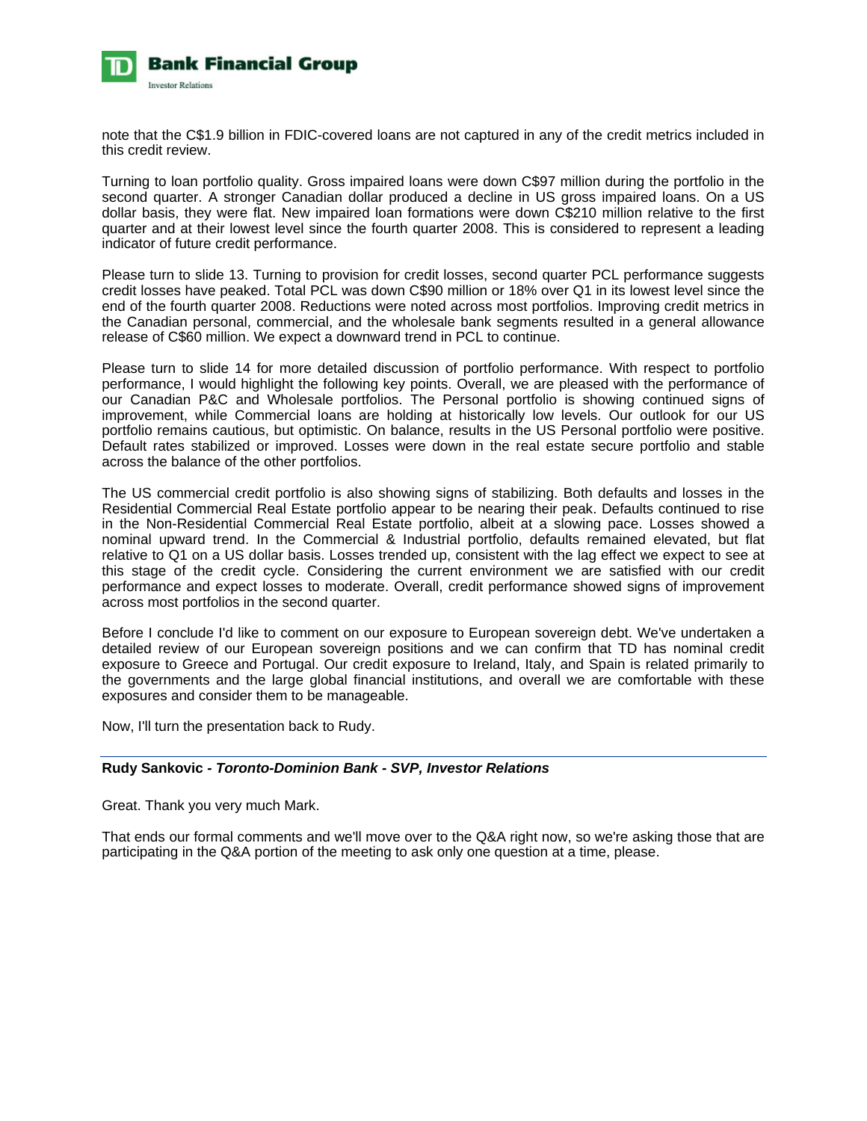

note that the C\$1.9 billion in FDIC-covered loans are not captured in any of the credit metrics included in this credit review.

Turning to loan portfolio quality. Gross impaired loans were down C\$97 million during the portfolio in the second quarter. A stronger Canadian dollar produced a decline in US gross impaired loans. On a US dollar basis, they were flat. New impaired loan formations were down C\$210 million relative to the first quarter and at their lowest level since the fourth quarter 2008. This is considered to represent a leading indicator of future credit performance.

Please turn to slide 13. Turning to provision for credit losses, second quarter PCL performance suggests credit losses have peaked. Total PCL was down C\$90 million or 18% over Q1 in its lowest level since the end of the fourth quarter 2008. Reductions were noted across most portfolios. Improving credit metrics in the Canadian personal, commercial, and the wholesale bank segments resulted in a general allowance release of C\$60 million. We expect a downward trend in PCL to continue.

Please turn to slide 14 for more detailed discussion of portfolio performance. With respect to portfolio performance, I would highlight the following key points. Overall, we are pleased with the performance of our Canadian P&C and Wholesale portfolios. The Personal portfolio is showing continued signs of improvement, while Commercial loans are holding at historically low levels. Our outlook for our US portfolio remains cautious, but optimistic. On balance, results in the US Personal portfolio were positive. Default rates stabilized or improved. Losses were down in the real estate secure portfolio and stable across the balance of the other portfolios.

The US commercial credit portfolio is also showing signs of stabilizing. Both defaults and losses in the Residential Commercial Real Estate portfolio appear to be nearing their peak. Defaults continued to rise in the Non-Residential Commercial Real Estate portfolio, albeit at a slowing pace. Losses showed a nominal upward trend. In the Commercial & Industrial portfolio, defaults remained elevated, but flat relative to Q1 on a US dollar basis. Losses trended up, consistent with the lag effect we expect to see at this stage of the credit cycle. Considering the current environment we are satisfied with our credit performance and expect losses to moderate. Overall, credit performance showed signs of improvement across most portfolios in the second quarter.

Before I conclude I'd like to comment on our exposure to European sovereign debt. We've undertaken a detailed review of our European sovereign positions and we can confirm that TD has nominal credit exposure to Greece and Portugal. Our credit exposure to Ireland, Italy, and Spain is related primarily to the governments and the large global financial institutions, and overall we are comfortable with these exposures and consider them to be manageable.

Now, I'll turn the presentation back to Rudy.

# **Rudy Sankovic** *- Toronto-Dominion Bank - SVP, Investor Relations*

Great. Thank you very much Mark.

That ends our formal comments and we'll move over to the Q&A right now, so we're asking those that are participating in the Q&A portion of the meeting to ask only one question at a time, please.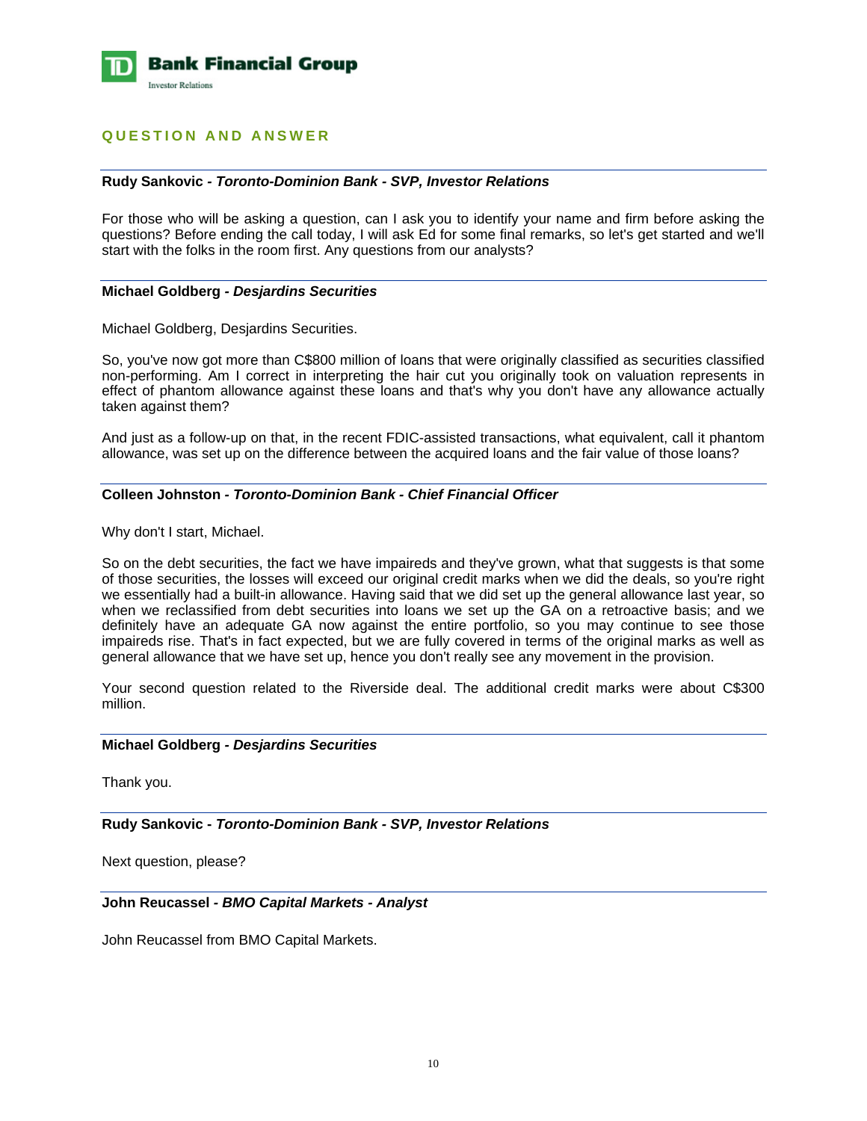

# **QUESTION AND ANSWER**

#### **Rudy Sankovic** *- Toronto-Dominion Bank - SVP, Investor Relations*

For those who will be asking a question, can I ask you to identify your name and firm before asking the questions? Before ending the call today, I will ask Ed for some final remarks, so let's get started and we'll start with the folks in the room first. Any questions from our analysts?

# **Michael Goldberg** *- Desjardins Securities*

Michael Goldberg, Desjardins Securities.

So, you've now got more than C\$800 million of loans that were originally classified as securities classified non-performing. Am I correct in interpreting the hair cut you originally took on valuation represents in effect of phantom allowance against these loans and that's why you don't have any allowance actually taken against them?

And just as a follow-up on that, in the recent FDIC-assisted transactions, what equivalent, call it phantom allowance, was set up on the difference between the acquired loans and the fair value of those loans?

# **Colleen Johnston** *- Toronto-Dominion Bank - Chief Financial Officer*

Why don't I start, Michael.

So on the debt securities, the fact we have impaireds and they've grown, what that suggests is that some of those securities, the losses will exceed our original credit marks when we did the deals, so you're right we essentially had a built-in allowance. Having said that we did set up the general allowance last year, so when we reclassified from debt securities into loans we set up the GA on a retroactive basis; and we definitely have an adequate GA now against the entire portfolio, so you may continue to see those impaireds rise. That's in fact expected, but we are fully covered in terms of the original marks as well as general allowance that we have set up, hence you don't really see any movement in the provision.

Your second question related to the Riverside deal. The additional credit marks were about C\$300 million.

#### **Michael Goldberg** *- Desjardins Securities*

Thank you.

**Rudy Sankovic -** *Toronto-Dominion Bank - SVP, Investor Relations* 

Next question, please?

# **John Reucassel** *- BMO Capital Markets - Analyst*

John Reucassel from BMO Capital Markets.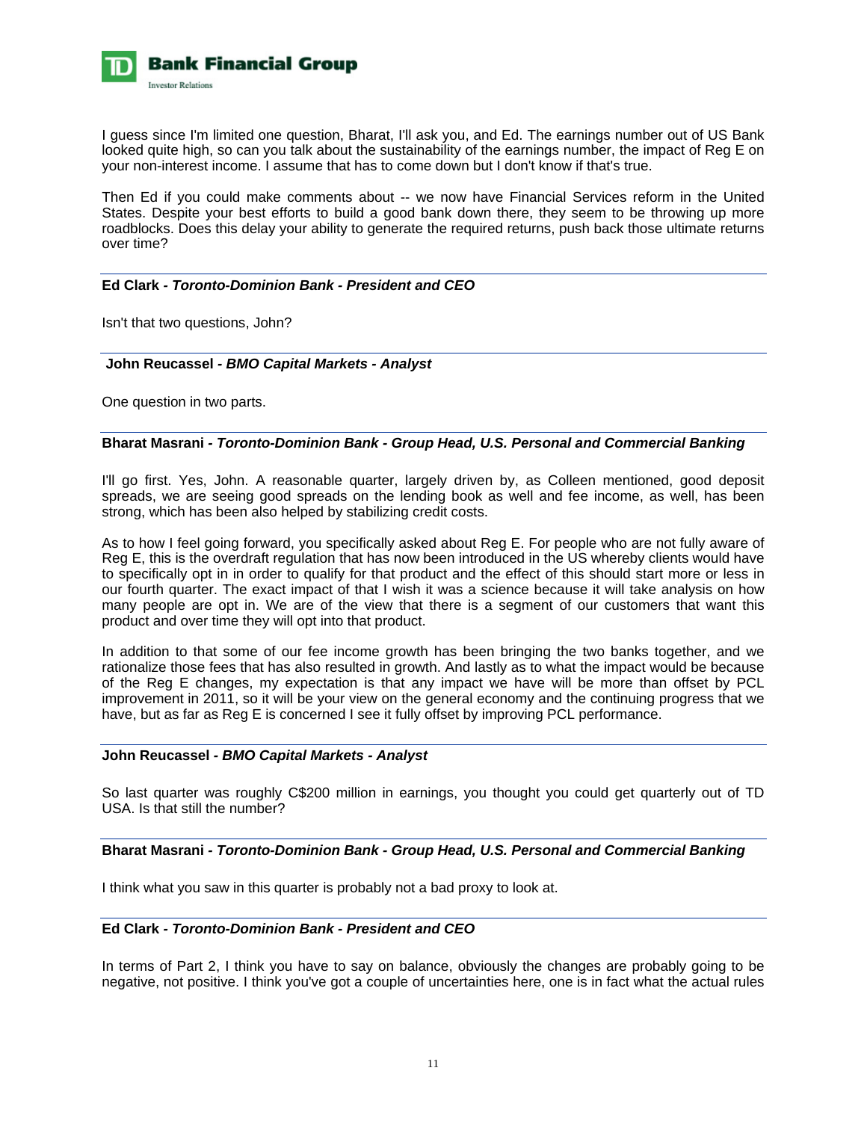

I guess since I'm limited one question, Bharat, I'll ask you, and Ed. The earnings number out of US Bank looked quite high, so can you talk about the sustainability of the earnings number, the impact of Reg E on your non-interest income. I assume that has to come down but I don't know if that's true.

Then Ed if you could make comments about -- we now have Financial Services reform in the United States. Despite your best efforts to build a good bank down there, they seem to be throwing up more roadblocks. Does this delay your ability to generate the required returns, push back those ultimate returns over time?

# **Ed Clark** *- Toronto-Dominion Bank - President and CEO*

Isn't that two questions, John?

#### **John Reucassel** *- BMO Capital Markets - Analyst*

One question in two parts.

# **Bharat Masrani** *- Toronto-Dominion Bank - Group Head, U.S. Personal and Commercial Banking*

I'll go first. Yes, John. A reasonable quarter, largely driven by, as Colleen mentioned, good deposit spreads, we are seeing good spreads on the lending book as well and fee income, as well, has been strong, which has been also helped by stabilizing credit costs.

As to how I feel going forward, you specifically asked about Reg E. For people who are not fully aware of Reg E, this is the overdraft regulation that has now been introduced in the US whereby clients would have to specifically opt in in order to qualify for that product and the effect of this should start more or less in our fourth quarter. The exact impact of that I wish it was a science because it will take analysis on how many people are opt in. We are of the view that there is a segment of our customers that want this product and over time they will opt into that product.

In addition to that some of our fee income growth has been bringing the two banks together, and we rationalize those fees that has also resulted in growth. And lastly as to what the impact would be because of the Reg E changes, my expectation is that any impact we have will be more than offset by PCL improvement in 2011, so it will be your view on the general economy and the continuing progress that we have, but as far as Reg E is concerned I see it fully offset by improving PCL performance.

#### **John Reucassel** *- BMO Capital Markets - Analyst*

So last quarter was roughly C\$200 million in earnings, you thought you could get quarterly out of TD USA. Is that still the number?

# **Bharat Masrani** *- Toronto-Dominion Bank - Group Head, U.S. Personal and Commercial Banking*

I think what you saw in this quarter is probably not a bad proxy to look at.

# **Ed Clark** *- Toronto-Dominion Bank - President and CEO*

In terms of Part 2, I think you have to say on balance, obviously the changes are probably going to be negative, not positive. I think you've got a couple of uncertainties here, one is in fact what the actual rules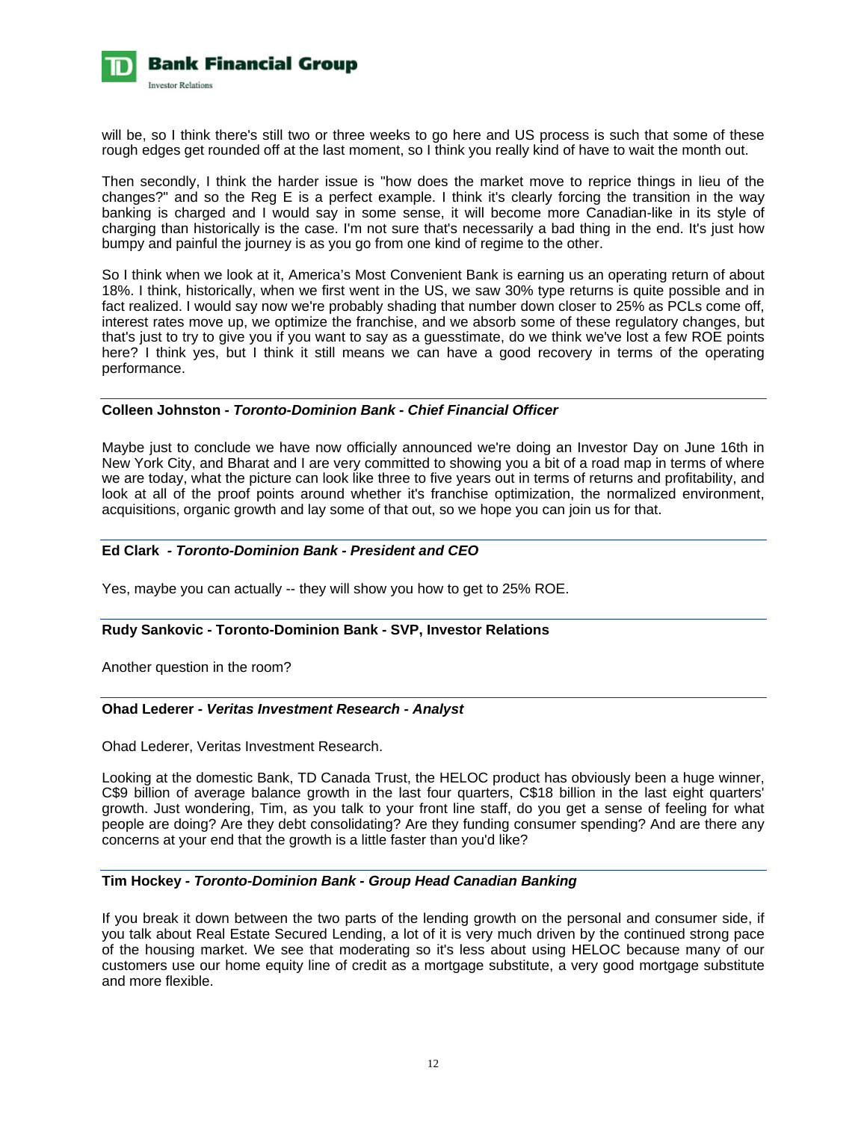

will be, so I think there's still two or three weeks to go here and US process is such that some of these rough edges get rounded off at the last moment, so I think you really kind of have to wait the month out.

Then secondly, I think the harder issue is "how does the market move to reprice things in lieu of the changes?" and so the Reg E is a perfect example. I think it's clearly forcing the transition in the way banking is charged and I would say in some sense, it will become more Canadian-like in its style of charging than historically is the case. I'm not sure that's necessarily a bad thing in the end. It's just how bumpy and painful the journey is as you go from one kind of regime to the other.

So I think when we look at it, America's Most Convenient Bank is earning us an operating return of about 18%. I think, historically, when we first went in the US, we saw 30% type returns is quite possible and in fact realized. I would say now we're probably shading that number down closer to 25% as PCLs come off, interest rates move up, we optimize the franchise, and we absorb some of these regulatory changes, but that's just to try to give you if you want to say as a guesstimate, do we think we've lost a few ROE points here? I think yes, but I think it still means we can have a good recovery in terms of the operating performance.

# **Colleen Johnston -** *Toronto-Dominion Bank - Chief Financial Officer*

Maybe just to conclude we have now officially announced we're doing an Investor Day on June 16th in New York City, and Bharat and I are very committed to showing you a bit of a road map in terms of where we are today, what the picture can look like three to five years out in terms of returns and profitability, and look at all of the proof points around whether it's franchise optimization, the normalized environment, acquisitions, organic growth and lay some of that out, so we hope you can join us for that.

# **Ed Clark** *- Toronto-Dominion Bank - President and CEO*

Yes, maybe you can actually -- they will show you how to get to 25% ROE.

# **Rudy Sankovic - Toronto-Dominion Bank - SVP, Investor Relations**

Another question in the room?

# **Ohad Lederer** *- Veritas Investment Research - Analyst*

Ohad Lederer, Veritas Investment Research.

Looking at the domestic Bank, TD Canada Trust, the HELOC product has obviously been a huge winner, C\$9 billion of average balance growth in the last four quarters, C\$18 billion in the last eight quarters' growth. Just wondering, Tim, as you talk to your front line staff, do you get a sense of feeling for what people are doing? Are they debt consolidating? Are they funding consumer spending? And are there any concerns at your end that the growth is a little faster than you'd like?

#### **Tim Hockey** *- Toronto-Dominion Bank - Group Head Canadian Banking*

If you break it down between the two parts of the lending growth on the personal and consumer side, if you talk about Real Estate Secured Lending, a lot of it is very much driven by the continued strong pace of the housing market. We see that moderating so it's less about using HELOC because many of our customers use our home equity line of credit as a mortgage substitute, a very good mortgage substitute and more flexible.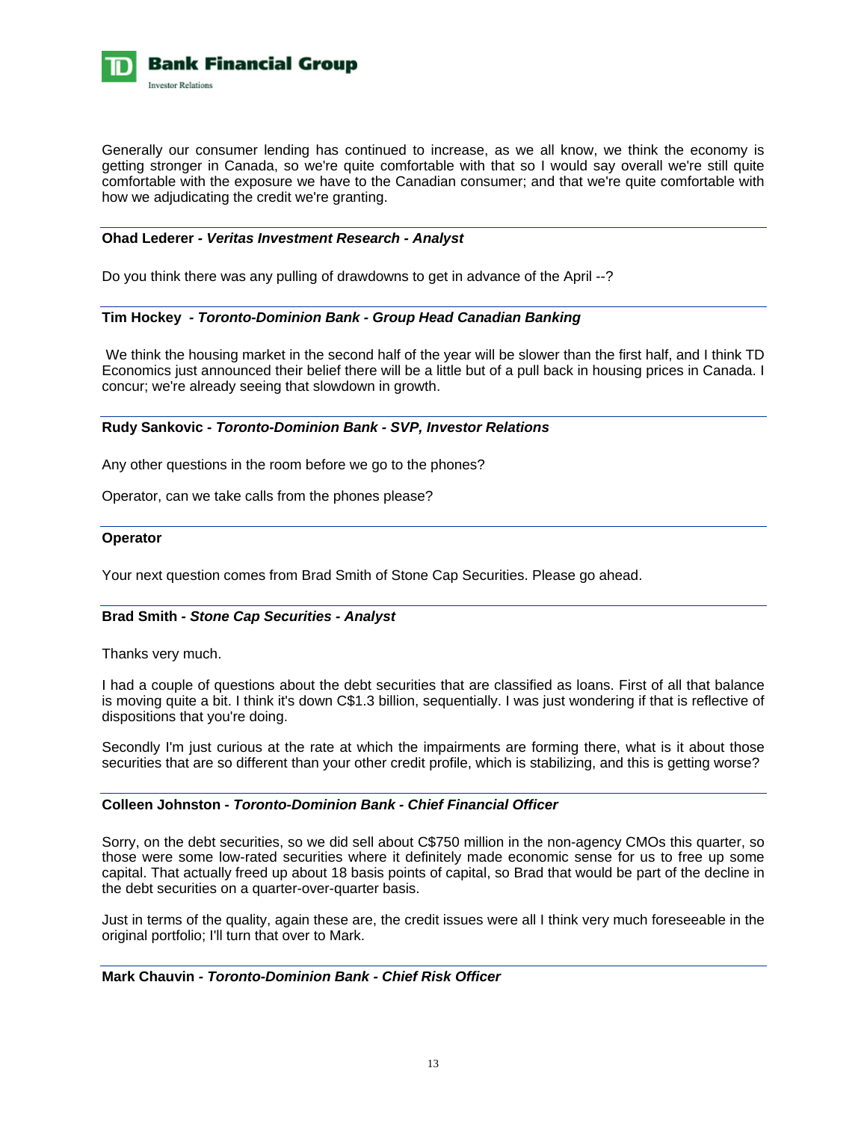

Generally our consumer lending has continued to increase, as we all know, we think the economy is getting stronger in Canada, so we're quite comfortable with that so I would say overall we're still quite comfortable with the exposure we have to the Canadian consumer; and that we're quite comfortable with how we adjudicating the credit we're granting.

# **Ohad Lederer** *- Veritas Investment Research - Analyst*

Do you think there was any pulling of drawdowns to get in advance of the April --?

#### **Tim Hockey** *- Toronto-Dominion Bank - Group Head Canadian Banking*

 We think the housing market in the second half of the year will be slower than the first half, and I think TD Economics just announced their belief there will be a little but of a pull back in housing prices in Canada. I concur; we're already seeing that slowdown in growth.

# **Rudy Sankovic -** *Toronto-Dominion Bank - SVP, Investor Relations*

Any other questions in the room before we go to the phones?

Operator, can we take calls from the phones please?

#### **Operator**

Your next question comes from Brad Smith of Stone Cap Securities. Please go ahead.

#### **Brad Smith** *- Stone Cap Securities - Analyst*

Thanks very much.

I had a couple of questions about the debt securities that are classified as loans. First of all that balance is moving quite a bit. I think it's down C\$1.3 billion, sequentially. I was just wondering if that is reflective of dispositions that you're doing.

Secondly I'm just curious at the rate at which the impairments are forming there, what is it about those securities that are so different than your other credit profile, which is stabilizing, and this is getting worse?

#### **Colleen Johnston -** *Toronto-Dominion Bank - Chief Financial Officer*

Sorry, on the debt securities, so we did sell about C\$750 million in the non-agency CMOs this quarter, so those were some low-rated securities where it definitely made economic sense for us to free up some capital. That actually freed up about 18 basis points of capital, so Brad that would be part of the decline in the debt securities on a quarter-over-quarter basis.

Just in terms of the quality, again these are, the credit issues were all I think very much foreseeable in the original portfolio; I'll turn that over to Mark.

**Mark Chauvin** *- Toronto-Dominion Bank - Chief Risk Officer*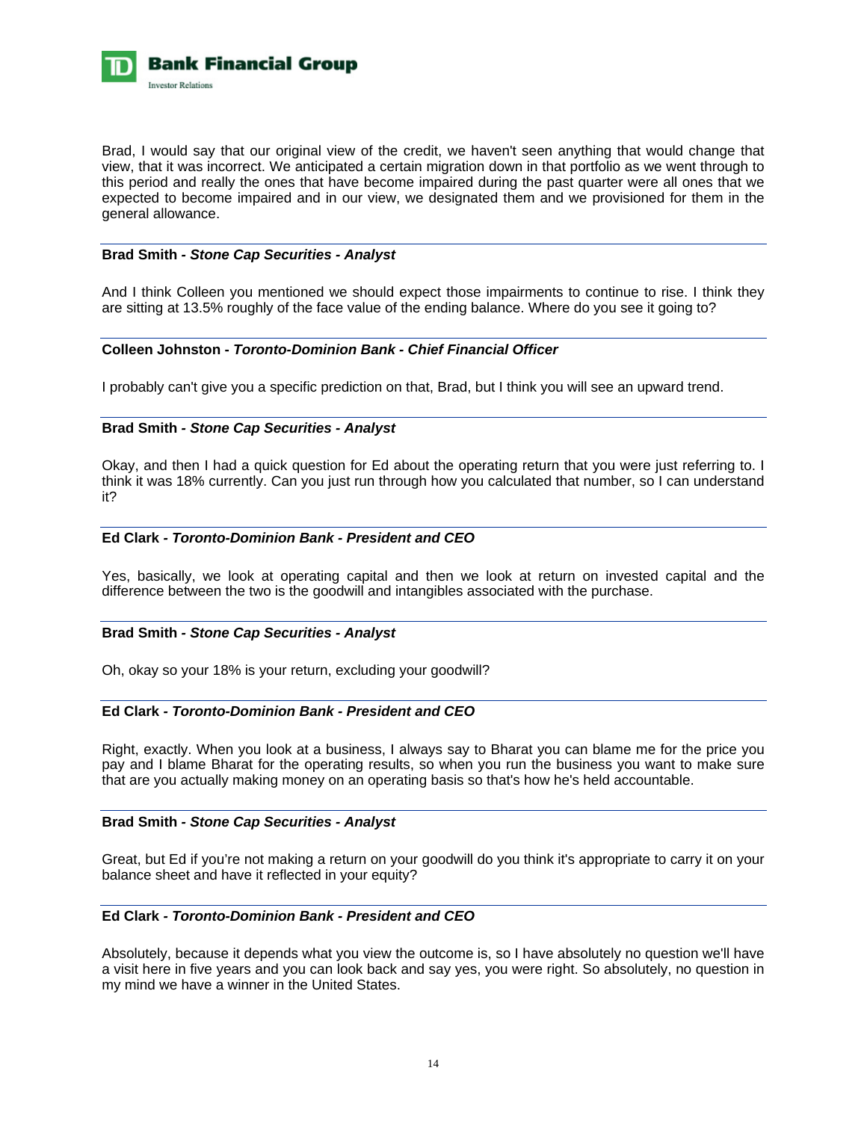

Brad, I would say that our original view of the credit, we haven't seen anything that would change that view, that it was incorrect. We anticipated a certain migration down in that portfolio as we went through to this period and really the ones that have become impaired during the past quarter were all ones that we expected to become impaired and in our view, we designated them and we provisioned for them in the general allowance.

# **Brad Smith** *- Stone Cap Securities - Analyst*

And I think Colleen you mentioned we should expect those impairments to continue to rise. I think they are sitting at 13.5% roughly of the face value of the ending balance. Where do you see it going to?

# **Colleen Johnston -** *Toronto-Dominion Bank - Chief Financial Officer*

I probably can't give you a specific prediction on that, Brad, but I think you will see an upward trend.

# **Brad Smith** *- Stone Cap Securities - Analyst*

Okay, and then I had a quick question for Ed about the operating return that you were just referring to. I think it was 18% currently. Can you just run through how you calculated that number, so I can understand it?

# **Ed Clark** *- Toronto-Dominion Bank - President and CEO*

Yes, basically, we look at operating capital and then we look at return on invested capital and the difference between the two is the goodwill and intangibles associated with the purchase.

#### **Brad Smith** *- Stone Cap Securities - Analyst*

Oh, okay so your 18% is your return, excluding your goodwill?

# **Ed Clark** *- Toronto-Dominion Bank - President and CEO*

Right, exactly. When you look at a business, I always say to Bharat you can blame me for the price you pay and I blame Bharat for the operating results, so when you run the business you want to make sure that are you actually making money on an operating basis so that's how he's held accountable.

# **Brad Smith** *- Stone Cap Securities - Analyst*

Great, but Ed if you're not making a return on your goodwill do you think it's appropriate to carry it on your balance sheet and have it reflected in your equity?

# **Ed Clark** *- Toronto-Dominion Bank - President and CEO*

Absolutely, because it depends what you view the outcome is, so I have absolutely no question we'll have a visit here in five years and you can look back and say yes, you were right. So absolutely, no question in my mind we have a winner in the United States.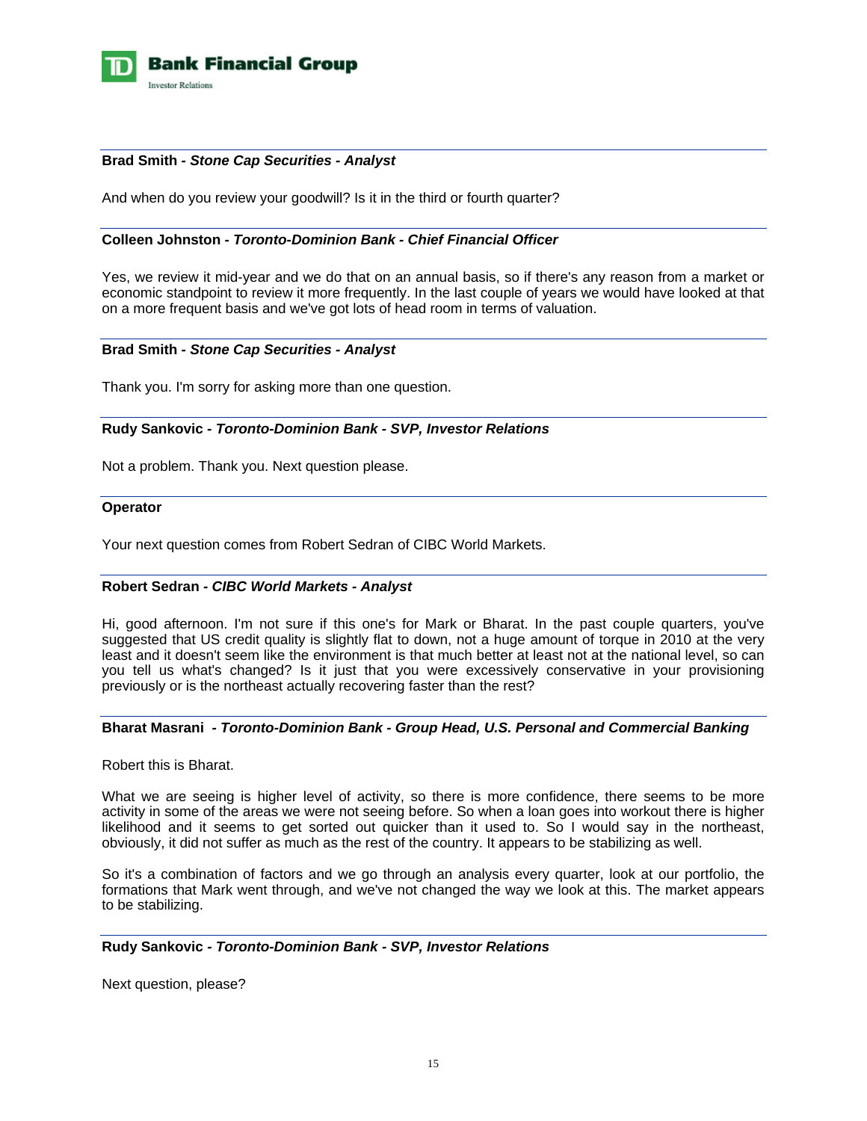

# **Brad Smith** *- Stone Cap Securities - Analyst*

And when do you review your goodwill? Is it in the third or fourth quarter?

#### **Colleen Johnston -** *Toronto-Dominion Bank - Chief Financial Officer*

Yes, we review it mid-year and we do that on an annual basis, so if there's any reason from a market or economic standpoint to review it more frequently. In the last couple of years we would have looked at that on a more frequent basis and we've got lots of head room in terms of valuation.

# **Brad Smith** *- Stone Cap Securities - Analyst*

Thank you. I'm sorry for asking more than one question.

# **Rudy Sankovic -** *Toronto-Dominion Bank - SVP, Investor Relations*

Not a problem. Thank you. Next question please.

#### **Operator**

Your next question comes from Robert Sedran of CIBC World Markets.

#### **Robert Sedran** *- CIBC World Markets - Analyst*

Hi, good afternoon. I'm not sure if this one's for Mark or Bharat. In the past couple quarters, you've suggested that US credit quality is slightly flat to down, not a huge amount of torque in 2010 at the very least and it doesn't seem like the environment is that much better at least not at the national level, so can you tell us what's changed? Is it just that you were excessively conservative in your provisioning previously or is the northeast actually recovering faster than the rest?

#### **Bharat Masrani** *- Toronto-Dominion Bank - Group Head, U.S. Personal and Commercial Banking*

Robert this is Bharat.

What we are seeing is higher level of activity, so there is more confidence, there seems to be more activity in some of the areas we were not seeing before. So when a loan goes into workout there is higher likelihood and it seems to get sorted out quicker than it used to. So I would say in the northeast, obviously, it did not suffer as much as the rest of the country. It appears to be stabilizing as well.

So it's a combination of factors and we go through an analysis every quarter, look at our portfolio, the formations that Mark went through, and we've not changed the way we look at this. The market appears to be stabilizing.

#### **Rudy Sankovic** *- Toronto-Dominion Bank - SVP, Investor Relations*

Next question, please?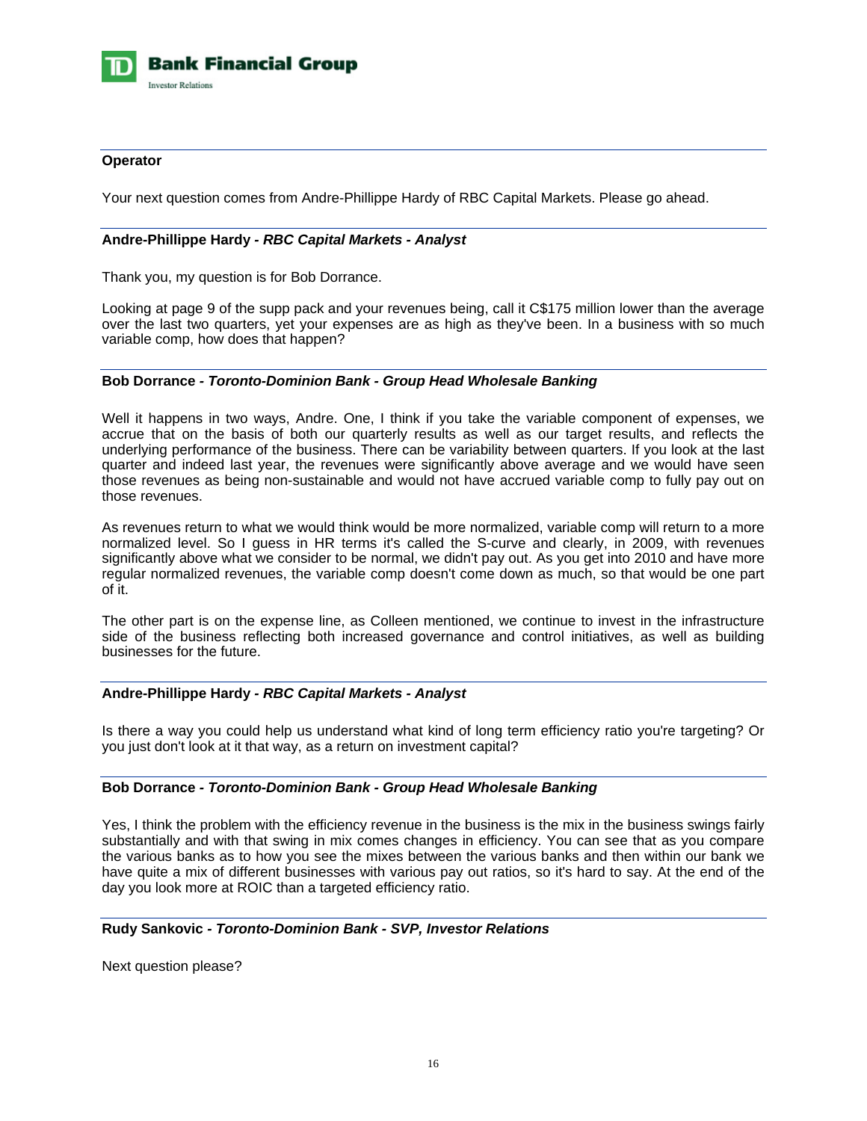

# **Operator**

Your next question comes from Andre-Phillippe Hardy of RBC Capital Markets. Please go ahead.

# **Andre-Phillippe Hardy** *- RBC Capital Markets - Analyst*

Thank you, my question is for Bob Dorrance.

Looking at page 9 of the supp pack and your revenues being, call it C\$175 million lower than the average over the last two quarters, yet your expenses are as high as they've been. In a business with so much variable comp, how does that happen?

#### **Bob Dorrance** *- Toronto-Dominion Bank - Group Head Wholesale Banking*

Well it happens in two ways, Andre. One, I think if you take the variable component of expenses, we accrue that on the basis of both our quarterly results as well as our target results, and reflects the underlying performance of the business. There can be variability between quarters. If you look at the last quarter and indeed last year, the revenues were significantly above average and we would have seen those revenues as being non-sustainable and would not have accrued variable comp to fully pay out on those revenues.

As revenues return to what we would think would be more normalized, variable comp will return to a more normalized level. So I guess in HR terms it's called the S-curve and clearly, in 2009, with revenues significantly above what we consider to be normal, we didn't pay out. As you get into 2010 and have more regular normalized revenues, the variable comp doesn't come down as much, so that would be one part of it.

The other part is on the expense line, as Colleen mentioned, we continue to invest in the infrastructure side of the business reflecting both increased governance and control initiatives, as well as building businesses for the future.

# **Andre-Phillippe Hardy** *- RBC Capital Markets - Analyst*

Is there a way you could help us understand what kind of long term efficiency ratio you're targeting? Or you just don't look at it that way, as a return on investment capital?

#### **Bob Dorrance** *- Toronto-Dominion Bank - Group Head Wholesale Banking*

Yes, I think the problem with the efficiency revenue in the business is the mix in the business swings fairly substantially and with that swing in mix comes changes in efficiency. You can see that as you compare the various banks as to how you see the mixes between the various banks and then within our bank we have quite a mix of different businesses with various pay out ratios, so it's hard to say. At the end of the day you look more at ROIC than a targeted efficiency ratio.

#### **Rudy Sankovic** *- Toronto-Dominion Bank - SVP, Investor Relations*

Next question please?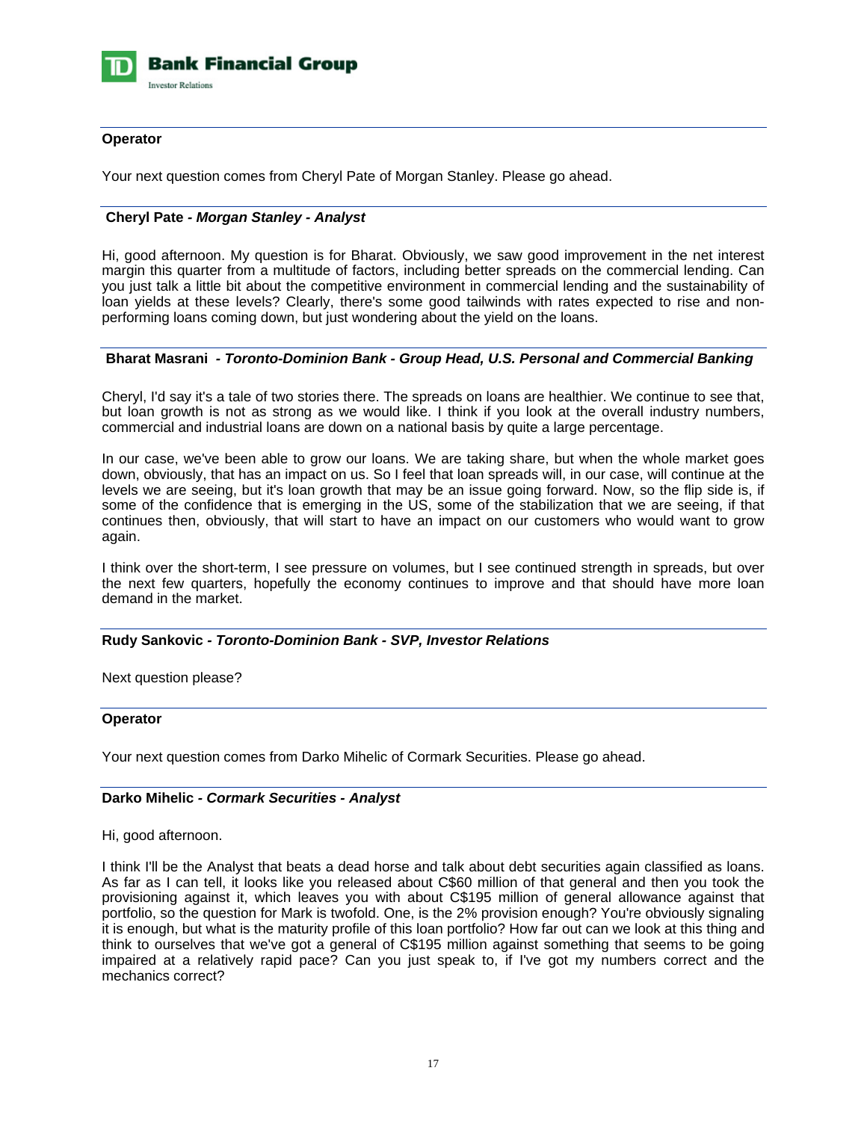

# **Operator**

Your next question comes from Cheryl Pate of Morgan Stanley. Please go ahead.

# **Cheryl Pate** *- Morgan Stanley - Analyst*

Hi, good afternoon. My question is for Bharat. Obviously, we saw good improvement in the net interest margin this quarter from a multitude of factors, including better spreads on the commercial lending. Can you just talk a little bit about the competitive environment in commercial lending and the sustainability of loan yields at these levels? Clearly, there's some good tailwinds with rates expected to rise and nonperforming loans coming down, but just wondering about the yield on the loans.

# **Bharat Masrani** *- Toronto-Dominion Bank - Group Head, U.S. Personal and Commercial Banking*

Cheryl, I'd say it's a tale of two stories there. The spreads on loans are healthier. We continue to see that, but loan growth is not as strong as we would like. I think if you look at the overall industry numbers, commercial and industrial loans are down on a national basis by quite a large percentage.

In our case, we've been able to grow our loans. We are taking share, but when the whole market goes down, obviously, that has an impact on us. So I feel that loan spreads will, in our case, will continue at the levels we are seeing, but it's loan growth that may be an issue going forward. Now, so the flip side is, if some of the confidence that is emerging in the US, some of the stabilization that we are seeing, if that continues then, obviously, that will start to have an impact on our customers who would want to grow again.

I think over the short-term, I see pressure on volumes, but I see continued strength in spreads, but over the next few quarters, hopefully the economy continues to improve and that should have more loan demand in the market.

# **Rudy Sankovic** *- Toronto-Dominion Bank - SVP, Investor Relations*

Next question please?

#### **Operator**

Your next question comes from Darko Mihelic of Cormark Securities. Please go ahead.

# **Darko Mihelic** *- Cormark Securities - Analyst*

#### Hi, good afternoon.

I think I'll be the Analyst that beats a dead horse and talk about debt securities again classified as loans. As far as I can tell, it looks like you released about C\$60 million of that general and then you took the provisioning against it, which leaves you with about C\$195 million of general allowance against that portfolio, so the question for Mark is twofold. One, is the 2% provision enough? You're obviously signaling it is enough, but what is the maturity profile of this loan portfolio? How far out can we look at this thing and think to ourselves that we've got a general of C\$195 million against something that seems to be going impaired at a relatively rapid pace? Can you just speak to, if I've got my numbers correct and the mechanics correct?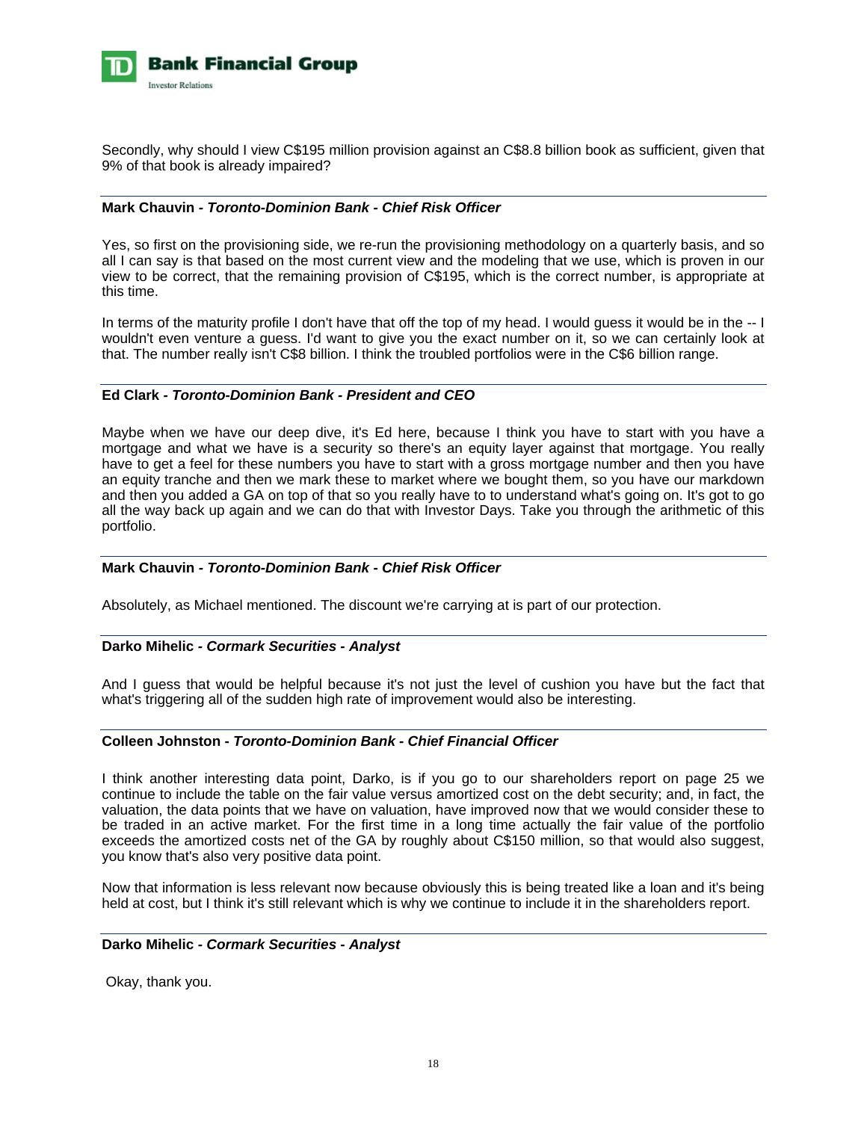

Secondly, why should I view C\$195 million provision against an C\$8.8 billion book as sufficient, given that 9% of that book is already impaired?

# **Mark Chauvin** *- Toronto-Dominion Bank - Chief Risk Officer*

Yes, so first on the provisioning side, we re-run the provisioning methodology on a quarterly basis, and so all I can say is that based on the most current view and the modeling that we use, which is proven in our view to be correct, that the remaining provision of C\$195, which is the correct number, is appropriate at this time.

In terms of the maturity profile I don't have that off the top of my head. I would guess it would be in the -- I wouldn't even venture a guess. I'd want to give you the exact number on it, so we can certainly look at that. The number really isn't C\$8 billion. I think the troubled portfolios were in the C\$6 billion range.

# **Ed Clark** *- Toronto-Dominion Bank - President and CEO*

Maybe when we have our deep dive, it's Ed here, because I think you have to start with you have a mortgage and what we have is a security so there's an equity layer against that mortgage. You really have to get a feel for these numbers you have to start with a gross mortgage number and then you have an equity tranche and then we mark these to market where we bought them, so you have our markdown and then you added a GA on top of that so you really have to to understand what's going on. It's got to go all the way back up again and we can do that with Investor Days. Take you through the arithmetic of this portfolio.

#### **Mark Chauvin** *- Toronto-Dominion Bank - Chief Risk Officer*

Absolutely, as Michael mentioned. The discount we're carrying at is part of our protection.

#### **Darko Mihelic** *- Cormark Securities - Analyst*

And I guess that would be helpful because it's not just the level of cushion you have but the fact that what's triggering all of the sudden high rate of improvement would also be interesting.

### **Colleen Johnston -** *Toronto-Dominion Bank - Chief Financial Officer*

I think another interesting data point, Darko, is if you go to our shareholders report on page 25 we continue to include the table on the fair value versus amortized cost on the debt security; and, in fact, the valuation, the data points that we have on valuation, have improved now that we would consider these to be traded in an active market. For the first time in a long time actually the fair value of the portfolio exceeds the amortized costs net of the GA by roughly about C\$150 million, so that would also suggest, you know that's also very positive data point.

Now that information is less relevant now because obviously this is being treated like a loan and it's being held at cost, but I think it's still relevant which is why we continue to include it in the shareholders report.

#### **Darko Mihelic** *- Cormark Securities - Analyst*

Okay, thank you.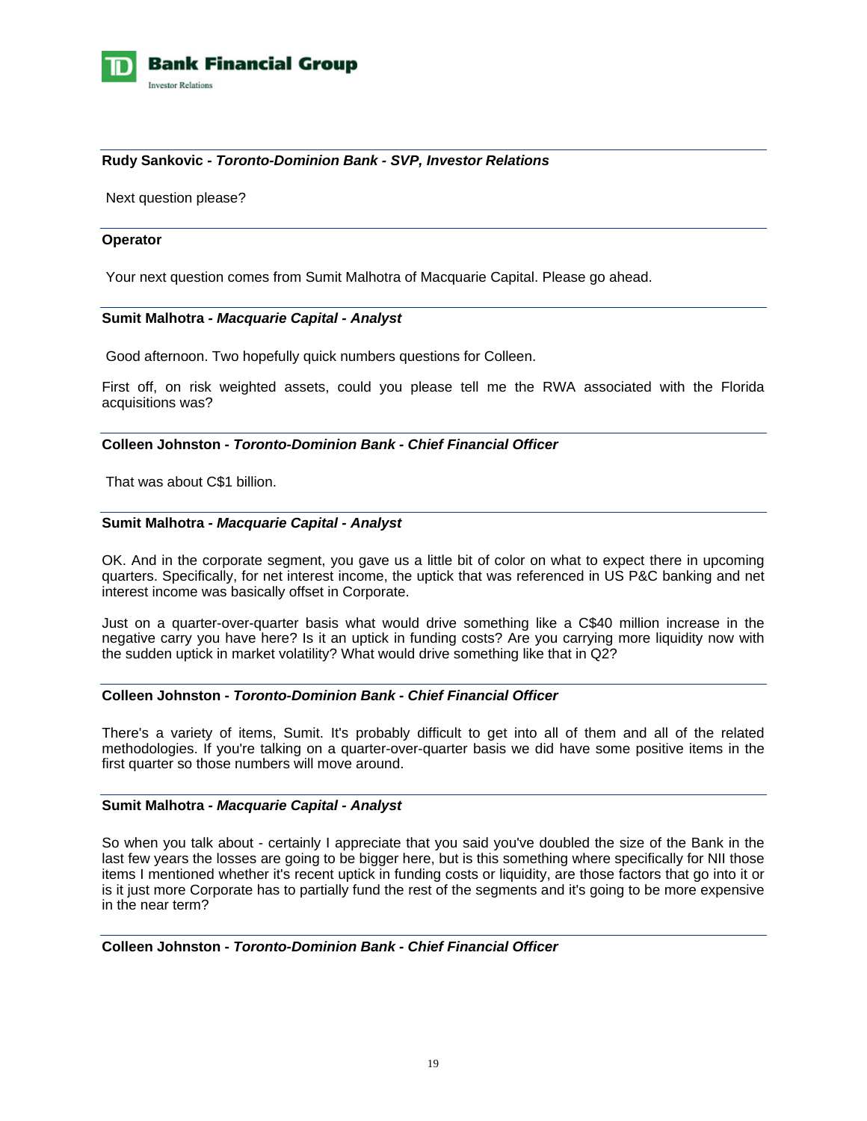

# **Rudy Sankovic -** *Toronto-Dominion Bank - SVP, Investor Relations*

Next question please?

#### **Operator**

Your next question comes from Sumit Malhotra of Macquarie Capital. Please go ahead.

#### **Sumit Malhotra** *- Macquarie Capital - Analyst*

Good afternoon. Two hopefully quick numbers questions for Colleen.

First off, on risk weighted assets, could you please tell me the RWA associated with the Florida acquisitions was?

#### **Colleen Johnston -** *Toronto-Dominion Bank - Chief Financial Officer*

That was about C\$1 billion.

#### **Sumit Malhotra** *- Macquarie Capital - Analyst*

OK. And in the corporate segment, you gave us a little bit of color on what to expect there in upcoming quarters. Specifically, for net interest income, the uptick that was referenced in US P&C banking and net interest income was basically offset in Corporate.

Just on a quarter-over-quarter basis what would drive something like a C\$40 million increase in the negative carry you have here? Is it an uptick in funding costs? Are you carrying more liquidity now with the sudden uptick in market volatility? What would drive something like that in Q2?

#### **Colleen Johnston -** *Toronto-Dominion Bank - Chief Financial Officer*

There's a variety of items, Sumit. It's probably difficult to get into all of them and all of the related methodologies. If you're talking on a quarter-over-quarter basis we did have some positive items in the first quarter so those numbers will move around.

#### **Sumit Malhotra** *- Macquarie Capital - Analyst*

So when you talk about - certainly I appreciate that you said you've doubled the size of the Bank in the last few years the losses are going to be bigger here, but is this something where specifically for NII those items I mentioned whether it's recent uptick in funding costs or liquidity, are those factors that go into it or is it just more Corporate has to partially fund the rest of the segments and it's going to be more expensive in the near term?

#### **Colleen Johnston -** *Toronto-Dominion Bank - Chief Financial Officer*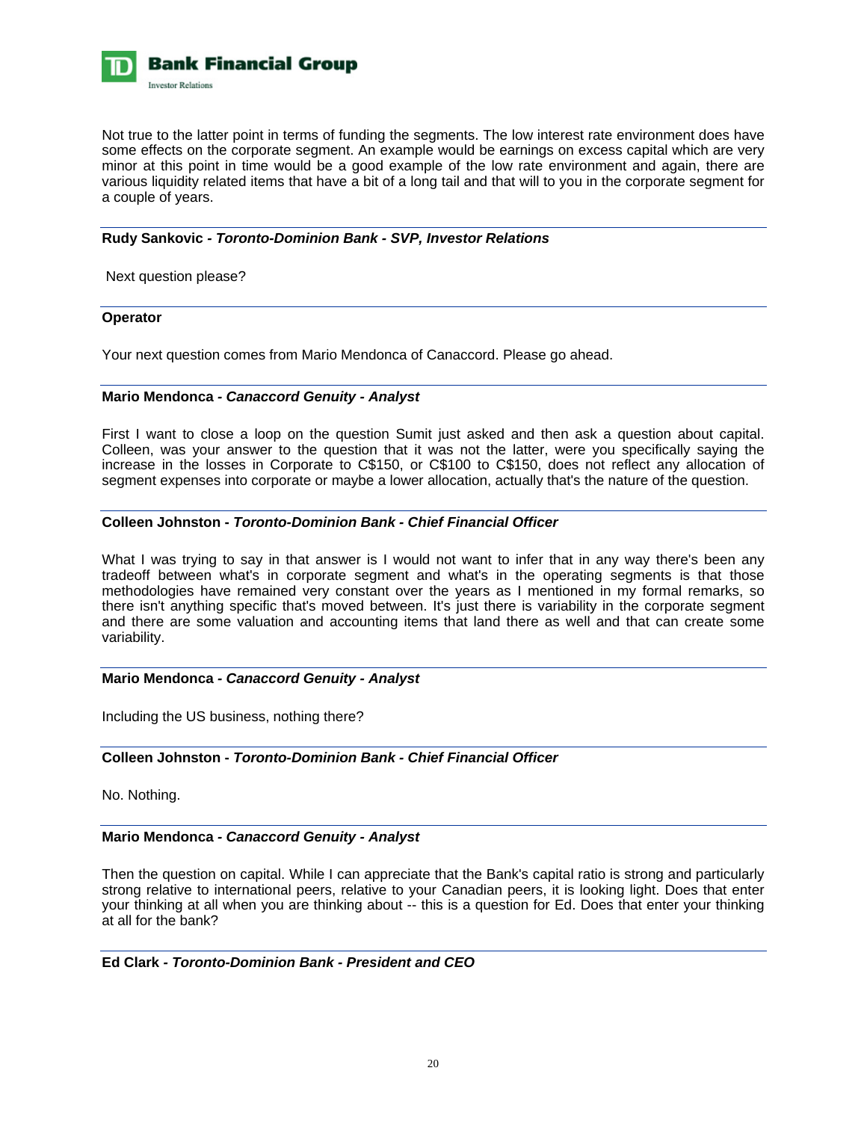

Not true to the latter point in terms of funding the segments. The low interest rate environment does have some effects on the corporate segment. An example would be earnings on excess capital which are very minor at this point in time would be a good example of the low rate environment and again, there are various liquidity related items that have a bit of a long tail and that will to you in the corporate segment for a couple of years.

# **Rudy Sankovic** *- Toronto-Dominion Bank - SVP, Investor Relations*

Next question please?

#### **Operator**

Your next question comes from Mario Mendonca of Canaccord. Please go ahead.

# **Mario Mendonca** *- Canaccord Genuity - Analyst*

First I want to close a loop on the question Sumit just asked and then ask a question about capital. Colleen, was your answer to the question that it was not the latter, were you specifically saying the increase in the losses in Corporate to C\$150, or C\$100 to C\$150, does not reflect any allocation of segment expenses into corporate or maybe a lower allocation, actually that's the nature of the question.

# **Colleen Johnston -** *Toronto-Dominion Bank - Chief Financial Officer*

What I was trying to say in that answer is I would not want to infer that in any way there's been any tradeoff between what's in corporate segment and what's in the operating segments is that those methodologies have remained very constant over the years as I mentioned in my formal remarks, so there isn't anything specific that's moved between. It's just there is variability in the corporate segment and there are some valuation and accounting items that land there as well and that can create some variability.

#### **Mario Mendonca** *- Canaccord Genuity - Analyst*

Including the US business, nothing there?

# **Colleen Johnston -** *Toronto-Dominion Bank - Chief Financial Officer*

No. Nothing.

# **Mario Mendonca** *- Canaccord Genuity - Analyst*

Then the question on capital. While I can appreciate that the Bank's capital ratio is strong and particularly strong relative to international peers, relative to your Canadian peers, it is looking light. Does that enter your thinking at all when you are thinking about -- this is a question for Ed. Does that enter your thinking at all for the bank?

# **Ed Clark** *- Toronto-Dominion Bank - President and CEO*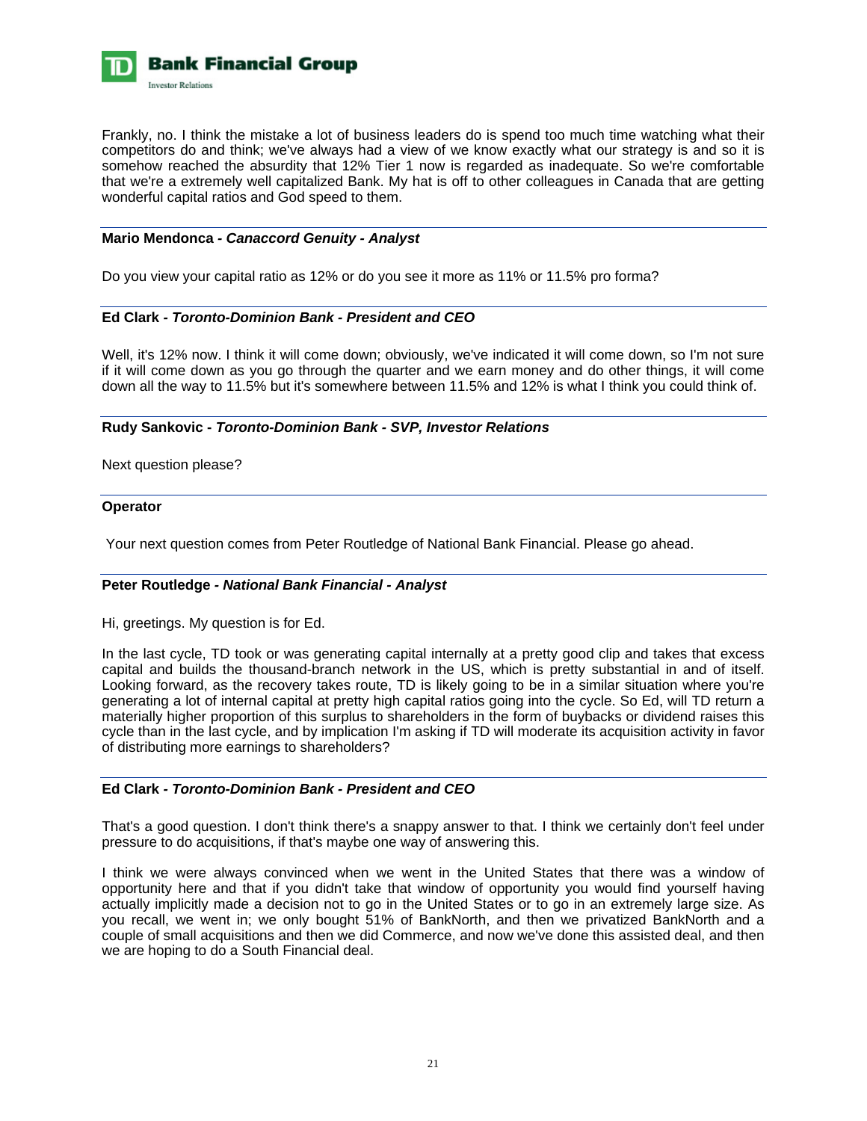

Frankly, no. I think the mistake a lot of business leaders do is spend too much time watching what their competitors do and think; we've always had a view of we know exactly what our strategy is and so it is somehow reached the absurdity that 12% Tier 1 now is regarded as inadequate. So we're comfortable that we're a extremely well capitalized Bank. My hat is off to other colleagues in Canada that are getting wonderful capital ratios and God speed to them.

# **Mario Mendonca** *- Canaccord Genuity - Analyst*

Do you view your capital ratio as 12% or do you see it more as 11% or 11.5% pro forma?

# **Ed Clark** *- Toronto-Dominion Bank - President and CEO*

Well, it's 12% now. I think it will come down; obviously, we've indicated it will come down, so I'm not sure if it will come down as you go through the quarter and we earn money and do other things, it will come down all the way to 11.5% but it's somewhere between 11.5% and 12% is what I think you could think of.

**Rudy Sankovic -** *Toronto-Dominion Bank - SVP, Investor Relations* 

Next question please?

#### **Operator**

Your next question comes from Peter Routledge of National Bank Financial. Please go ahead.

#### **Peter Routledge** *- National Bank Financial - Analyst*

Hi, greetings. My question is for Ed.

In the last cycle, TD took or was generating capital internally at a pretty good clip and takes that excess capital and builds the thousand-branch network in the US, which is pretty substantial in and of itself. Looking forward, as the recovery takes route, TD is likely going to be in a similar situation where you're generating a lot of internal capital at pretty high capital ratios going into the cycle. So Ed, will TD return a materially higher proportion of this surplus to shareholders in the form of buybacks or dividend raises this cycle than in the last cycle, and by implication I'm asking if TD will moderate its acquisition activity in favor of distributing more earnings to shareholders?

#### **Ed Clark** *- Toronto-Dominion Bank - President and CEO*

That's a good question. I don't think there's a snappy answer to that. I think we certainly don't feel under pressure to do acquisitions, if that's maybe one way of answering this.

I think we were always convinced when we went in the United States that there was a window of opportunity here and that if you didn't take that window of opportunity you would find yourself having actually implicitly made a decision not to go in the United States or to go in an extremely large size. As you recall, we went in; we only bought 51% of BankNorth, and then we privatized BankNorth and a couple of small acquisitions and then we did Commerce, and now we've done this assisted deal, and then we are hoping to do a South Financial deal.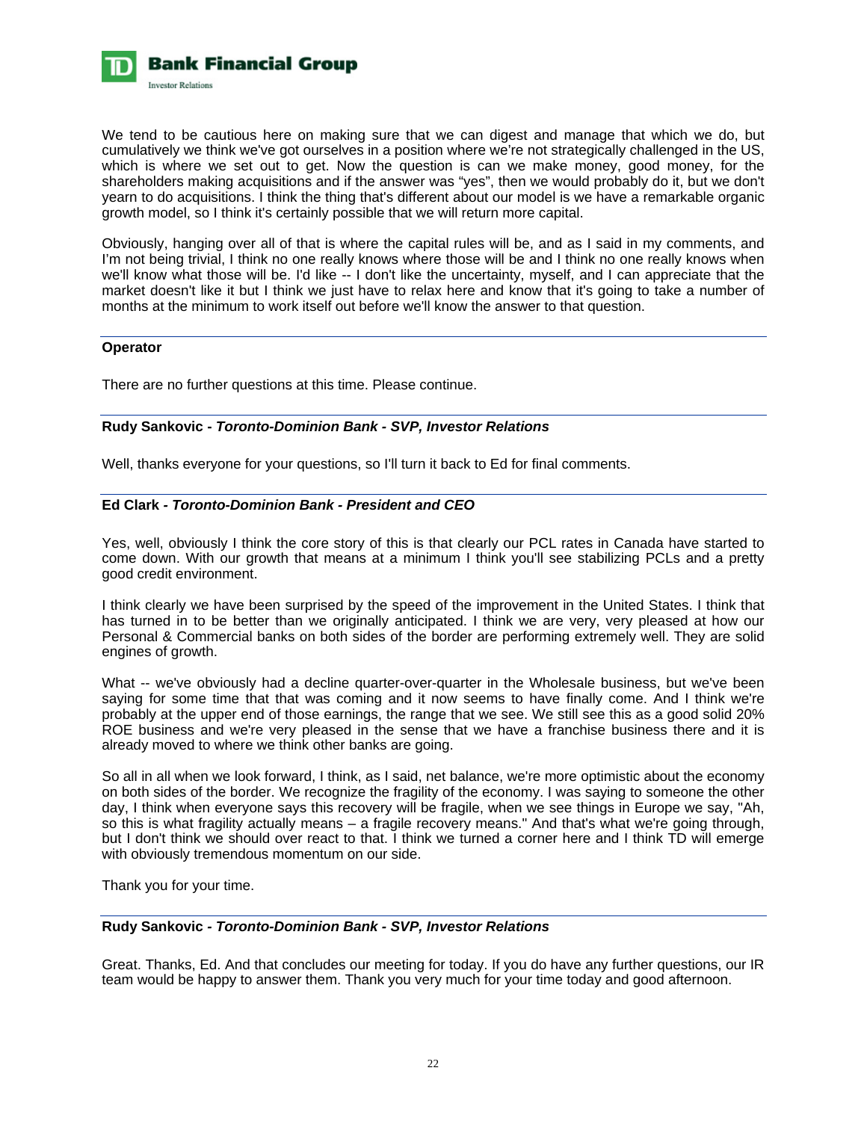

We tend to be cautious here on making sure that we can digest and manage that which we do, but cumulatively we think we've got ourselves in a position where we're not strategically challenged in the US, which is where we set out to get. Now the question is can we make money, good money, for the shareholders making acquisitions and if the answer was "yes", then we would probably do it, but we don't yearn to do acquisitions. I think the thing that's different about our model is we have a remarkable organic growth model, so I think it's certainly possible that we will return more capital.

Obviously, hanging over all of that is where the capital rules will be, and as I said in my comments, and I'm not being trivial, I think no one really knows where those will be and I think no one really knows when we'll know what those will be. I'd like -- I don't like the uncertainty, myself, and I can appreciate that the market doesn't like it but I think we just have to relax here and know that it's going to take a number of months at the minimum to work itself out before we'll know the answer to that question.

# **Operator**

There are no further questions at this time. Please continue.

# **Rudy Sankovic -** *Toronto-Dominion Bank - SVP, Investor Relations*

Well, thanks everyone for your questions, so I'll turn it back to Ed for final comments.

# **Ed Clark** *- Toronto-Dominion Bank - President and CEO*

Yes, well, obviously I think the core story of this is that clearly our PCL rates in Canada have started to come down. With our growth that means at a minimum I think you'll see stabilizing PCLs and a pretty good credit environment.

I think clearly we have been surprised by the speed of the improvement in the United States. I think that has turned in to be better than we originally anticipated. I think we are very, very pleased at how our Personal & Commercial banks on both sides of the border are performing extremely well. They are solid engines of growth.

What -- we've obviously had a decline quarter-over-quarter in the Wholesale business, but we've been saying for some time that that was coming and it now seems to have finally come. And I think we're probably at the upper end of those earnings, the range that we see. We still see this as a good solid 20% ROE business and we're very pleased in the sense that we have a franchise business there and it is already moved to where we think other banks are going.

So all in all when we look forward, I think, as I said, net balance, we're more optimistic about the economy on both sides of the border. We recognize the fragility of the economy. I was saying to someone the other day, I think when everyone says this recovery will be fragile, when we see things in Europe we say, "Ah, so this is what fragility actually means – a fragile recovery means." And that's what we're going through, but I don't think we should over react to that. I think we turned a corner here and I think TD will emerge with obviously tremendous momentum on our side.

Thank you for your time.

# **Rudy Sankovic** *- Toronto-Dominion Bank - SVP, Investor Relations*

Great. Thanks, Ed. And that concludes our meeting for today. If you do have any further questions, our IR team would be happy to answer them. Thank you very much for your time today and good afternoon.